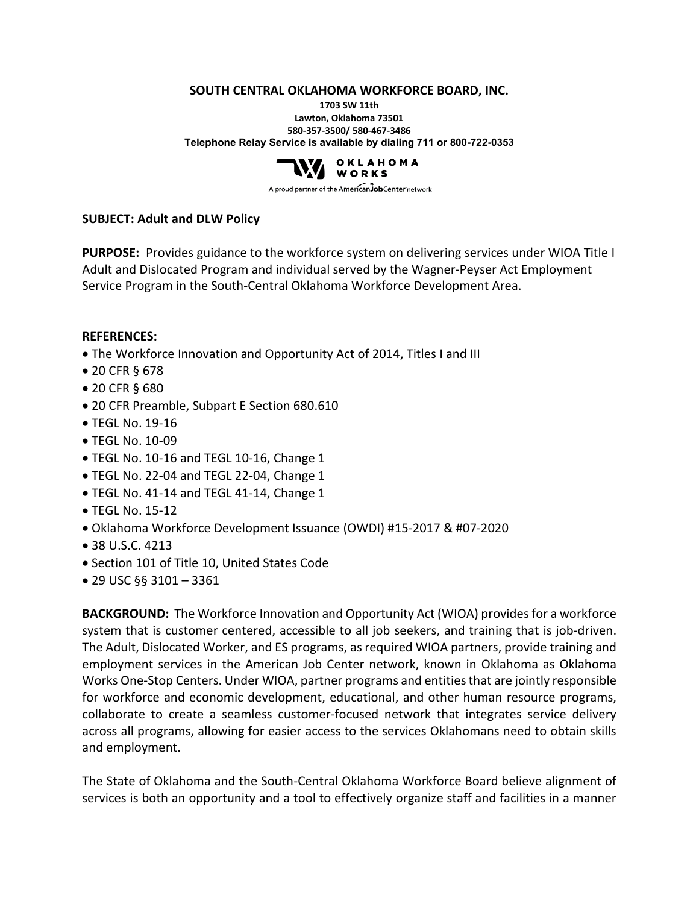**SOUTH CENTRAL OKLAHOMA WORKFORCE BOARD, INC.**

**1703 SW 11th Lawton, Oklahoma 73501 580-357-3500/ 580-467-3486 Telephone Relay Service is available by dialing 711 or 800-722-0353**



A proud partner of the AmericanJobCenter network

### **SUBJECT: Adult and DLW Policy**

**PURPOSE:** Provides guidance to the workforce system on delivering services under WIOA Title I Adult and Dislocated Program and individual served by the Wagner-Peyser Act Employment Service Program in the South-Central Oklahoma Workforce Development Area.

#### **REFERENCES:**

- The Workforce Innovation and Opportunity Act of 2014, Titles I and III
- 20 CFR § 678
- 20 CFR § 680
- 20 CFR Preamble, Subpart E Section 680.610
- TEGL No. 19-16
- TEGL No. 10-09
- TEGL No. 10-16 and TEGL 10-16, Change 1
- TEGL No. 22-04 and TEGL 22-04, Change 1
- TEGL No. 41-14 and TEGL 41-14, Change 1
- TEGL No. 15-12
- Oklahoma Workforce Development Issuance (OWDI) #15-2017 & #07-2020
- 38 U.S.C. 4213
- Section 101 of Title 10, United States Code
- 29 USC §§ 3101 3361

**BACKGROUND:** The Workforce Innovation and Opportunity Act (WIOA) provides for a workforce system that is customer centered, accessible to all job seekers, and training that is job-driven. The Adult, Dislocated Worker, and ES programs, as required WIOA partners, provide training and employment services in the American Job Center network, known in Oklahoma as Oklahoma Works One-Stop Centers. Under WIOA, partner programs and entities that are jointly responsible for workforce and economic development, educational, and other human resource programs, collaborate to create a seamless customer-focused network that integrates service delivery across all programs, allowing for easier access to the services Oklahomans need to obtain skills and employment.

The State of Oklahoma and the South-Central Oklahoma Workforce Board believe alignment of services is both an opportunity and a tool to effectively organize staff and facilities in a manner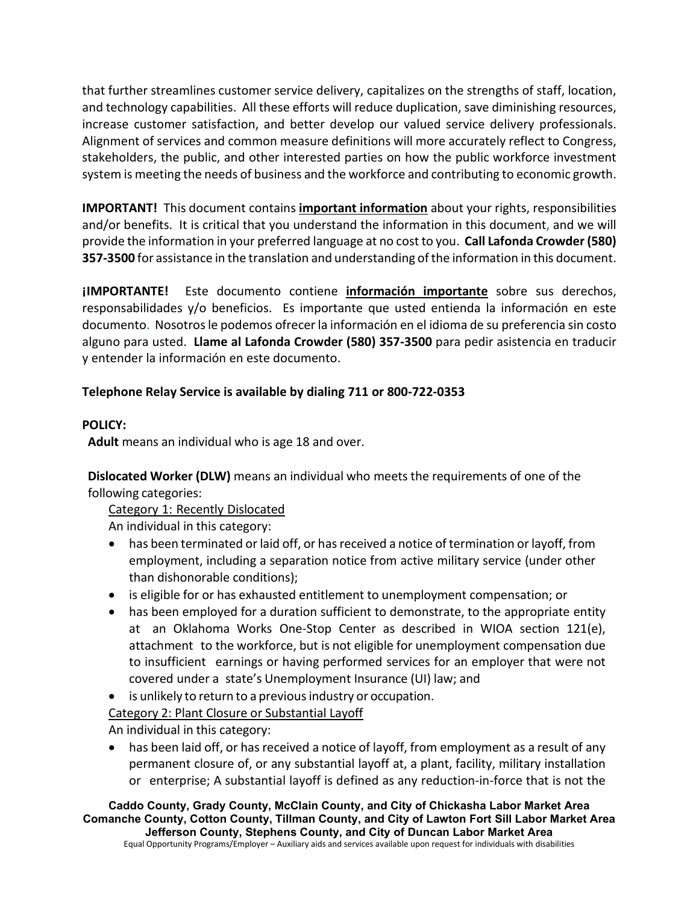that further streamlines customer service delivery, capitalizes on the strengths of staff, location, and technology capabilities. All these efforts will reduce duplication, save diminishing resources, increase customer satisfaction, and better develop our valued service delivery professionals. Alignment of services and common measure definitions will more accurately reflect to Congress, stakeholders, the public, and other interested parties on how the public workforce investment system is meeting the needs of business and the workforce and contributing to economic growth.

**IMPORTANT!** This document contains **important information** about your rights, responsibilities and/or benefits. It is critical that you understand the information in this document, and we will provide the information in your preferred language at no cost to you. **Call Lafonda Crowder (580) 357-3500** for assistance in the translation and understanding of the information in this document.

**¡IMPORTANTE!** Este documento contiene **información importante** sobre sus derechos, responsabilidades y/o beneficios. Es importante que usted entienda la información en este documento. Nosotros le podemos ofrecer la información en el idioma de su preferencia sin costo alguno para usted. **Llame al Lafonda Crowder (580) 357-3500** para pedir asistencia en traducir y entender la información en este documento.

# **Telephone Relay Service is available by dialing 711 or 800-722-0353**

## **POLICY:**

**Adult** means an individual who is age 18 and over.

**Dislocated Worker (DLW)** means an individual who meets the requirements of one of the following categories:

Category 1: Recently Dislocated

An individual in this category:

- has been terminated or laid off, or has received a notice of termination or layoff, from employment, including a separation notice from active military service (under other than dishonorable conditions);
- is eligible for or has exhausted entitlement to unemployment compensation; or
- has been employed for a duration sufficient to demonstrate, to the appropriate entity at an Oklahoma Works One-Stop Center as described in WIOA section 121(e), attachment to the workforce, but is not eligible for unemployment compensation due to insufficient earnings or having performed services for an employer that were not covered under a state's Unemployment Insurance (UI) law; and
- is unlikely to return to a previous industry or occupation.
- Category 2: Plant Closure or Substantial Layoff

An individual in this category:

has been laid off, or has received a notice of layoff, from employment as a result of any permanent closure of, or any substantial layoff at, a plant, facility, military installation or enterprise; A substantial layoff is defined as any reduction-in-force that is not the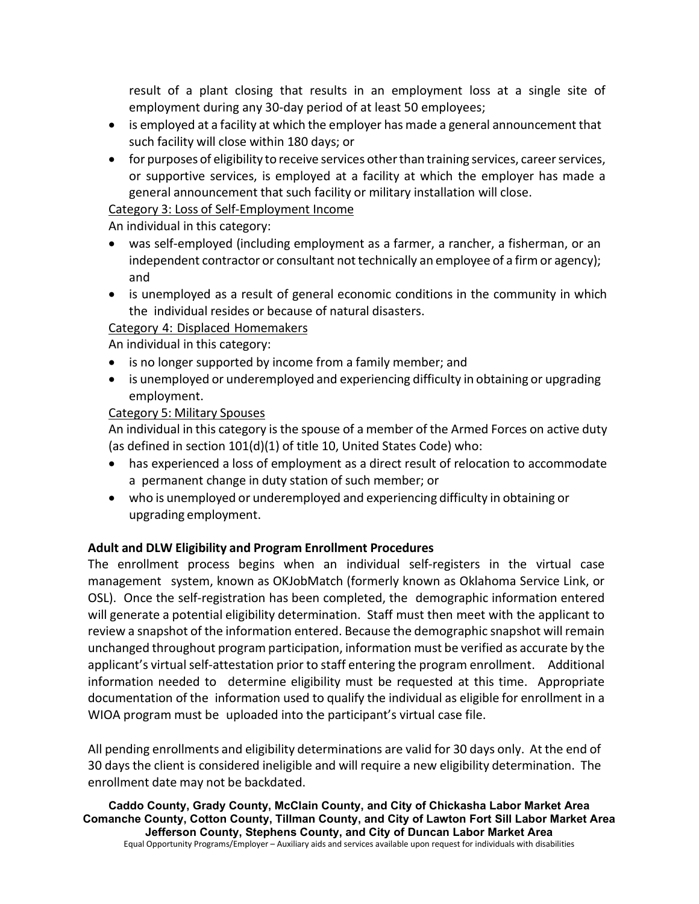result of a plant closing that results in an employment loss at a single site of employment during any 30-day period of at least 50 employees;

- is employed at a facility at which the employer has made a general announcement that such facility will close within 180 days; or
- for purposes of eligibility to receive services other than training services, career services, or supportive services, is employed at a facility at which the employer has made a general announcement that such facility or military installation will close.

# Category 3: Loss of Self-Employment Income

An individual in this category:

- was self-employed (including employment as a farmer, a rancher, a fisherman, or an independent contractor or consultant not technically an employee of a firm or agency); and
- is unemployed as a result of general economic conditions in the community in which the individual resides or because of natural disasters.

# Category 4: Displaced Homemakers

An individual in this category:

- is no longer supported by income from a family member; and
- is unemployed or underemployed and experiencing difficulty in obtaining or upgrading employment.

# Category 5: Military Spouses

An individual in this category isthe spouse of a member of the Armed Forces on active duty (as defined in section 101(d)(1) of title 10, United States Code) who:

- has experienced a loss of employment as a direct result of relocation to accommodate a permanent change in duty station of such member; or
- who is unemployed or underemployed and experiencing difficulty in obtaining or upgrading employment.

## **Adult and DLW Eligibility and Program Enrollment Procedures**

The enrollment process begins when an individual self-registers in the virtual case management system, known as OKJobMatch (formerly known as Oklahoma Service Link, or OSL). Once the self-registration has been completed, the demographic information entered will generate a potential eligibility determination. Staff must then meet with the applicant to review a snapshot of the information entered. Because the demographic snapshot will remain unchanged throughout program participation, information must be verified as accurate by the applicant's virtual self-attestation prior to staff entering the program enrollment. Additional information needed to determine eligibility must be requested at this time. Appropriate documentation of the information used to qualify the individual as eligible for enrollment in a WIOA program must be uploaded into the participant's virtual case file.

All pending enrollments and eligibility determinations are valid for 30 days only. At the end of 30 days the client is considered ineligible and will require a new eligibility determination. The enrollment date may not be backdated.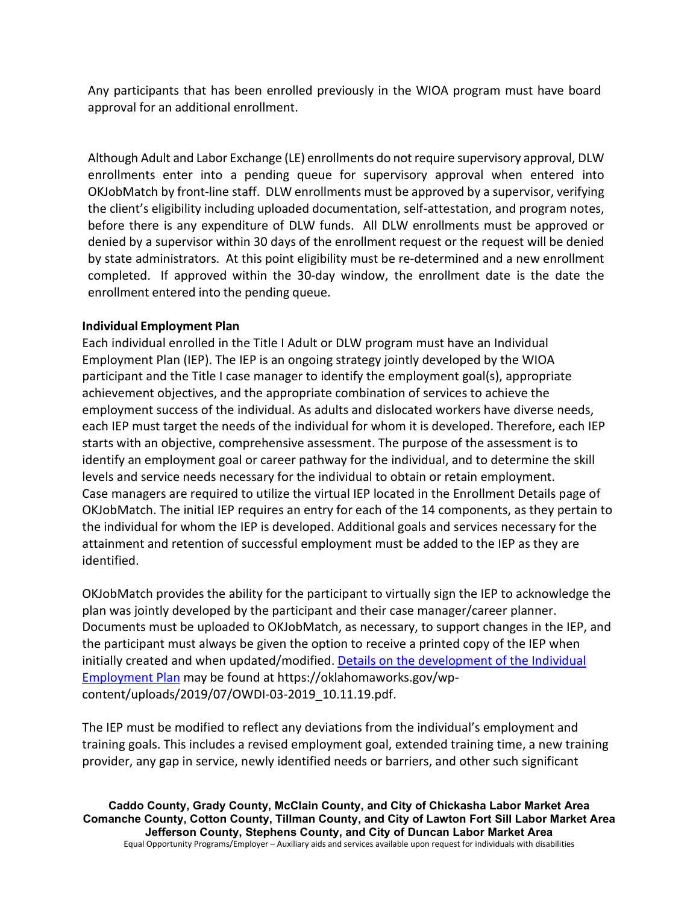Any participants that has been enrolled previously in the WIOA program must have board approval for an additional enrollment.

Although Adult and Labor Exchange (LE) enrollments do not require supervisory approval, DLW enrollments enter into a pending queue for supervisory approval when entered into OKJobMatch by front-line staff. DLW enrollments must be approved by a supervisor, verifying the client's eligibility including uploaded documentation, self-attestation, and program notes, before there is any expenditure of DLW funds. All DLW enrollments must be approved or denied by a supervisor within 30 days of the enrollment request or the request will be denied by state administrators. At this point eligibility must be re-determined and a new enrollment completed. If approved within the 30-day window, the enrollment date is the date the enrollment entered into the pending queue.

## **Individual Employment Plan**

Each individual enrolled in the Title I Adult or DLW program must have an Individual Employment Plan (IEP). The IEP is an ongoing strategy jointly developed by the WIOA participant and the Title I case manager to identify the employment goal(s), appropriate achievement objectives, and the appropriate combination of services to achieve the employment success of the individual. As adults and dislocated workers have diverse needs, each IEP must target the needs of the individual for whom it is developed. Therefore, each IEP starts with an objective, comprehensive assessment. The purpose of the assessment is to identify an employment goal or career pathway for the individual, and to determine the skill levels and service needs necessary for the individual to obtain or retain employment. Case managers are required to utilize the virtual IEP located in the Enrollment Details page of OKJobMatch. The initial IEP requires an entry for each of the 14 components, as they pertain to the individual for whom the IEP is developed. Additional goals and services necessary for the attainment and retention of successful employment must be added to the IEP as they are identified.

OKJobMatch provides the ability for the participant to virtually sign the IEP to acknowledge the plan was jointly developed by the participant and their case manager/career planner. Documents must be uploaded to OKJobMatch, as necessary, to support changes in the IEP, and the participant must always be given the option to receive a printed copy of the IEP when initially created and when updated/modified. Details on the development of the Individual Employment Plan may be found at https://oklahomaworks.gov/wpcontent/uploads/2019/07/OWDI-03-2019\_10.11.19.pdf.

The IEP must be modified to reflect any deviations from the individual's employment and training goals. This includes a revised employment goal, extended training time, a new training provider, any gap in service, newly identified needs or barriers, and other such significant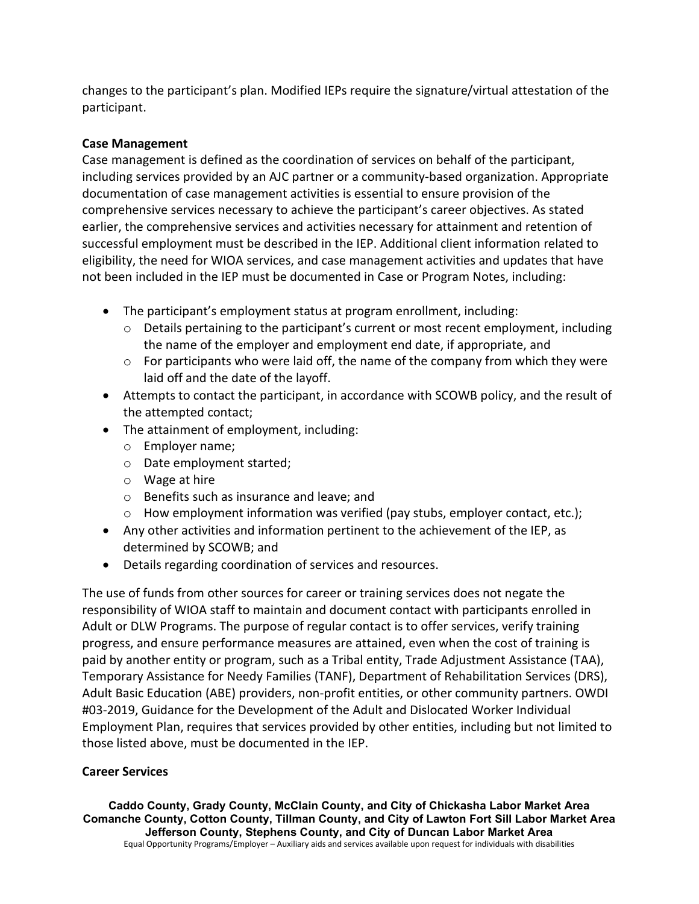changes to the participant's plan. Modified IEPs require the signature/virtual attestation of the participant.

### **Case Management**

Case management is defined as the coordination of services on behalf of the participant, including services provided by an AJC partner or a community-based organization. Appropriate documentation of case management activities is essential to ensure provision of the comprehensive services necessary to achieve the participant's career objectives. As stated earlier, the comprehensive services and activities necessary for attainment and retention of successful employment must be described in the IEP. Additional client information related to eligibility, the need for WIOA services, and case management activities and updates that have not been included in the IEP must be documented in Case or Program Notes, including:

- The participant's employment status at program enrollment, including:
	- $\circ$  Details pertaining to the participant's current or most recent employment, including the name of the employer and employment end date, if appropriate, and
	- $\circ$  For participants who were laid off, the name of the company from which they were laid off and the date of the layoff.
- Attempts to contact the participant, in accordance with SCOWB policy, and the result of the attempted contact;
- The attainment of employment, including:
	- o Employer name;
	- o Date employment started;
	- o Wage at hire
	- o Benefits such as insurance and leave; and
	- $\circ$  How employment information was verified (pay stubs, employer contact, etc.);
- Any other activities and information pertinent to the achievement of the IEP, as determined by SCOWB; and
- Details regarding coordination of services and resources.

The use of funds from other sources for career or training services does not negate the responsibility of WIOA staff to maintain and document contact with participants enrolled in Adult or DLW Programs. The purpose of regular contact is to offer services, verify training progress, and ensure performance measures are attained, even when the cost of training is paid by another entity or program, such as a Tribal entity, Trade Adjustment Assistance (TAA), Temporary Assistance for Needy Families (TANF), Department of Rehabilitation Services (DRS), Adult Basic Education (ABE) providers, non-profit entities, or other community partners. OWDI #03-2019, Guidance for the Development of the Adult and Dislocated Worker Individual Employment Plan, requires that services provided by other entities, including but not limited to those listed above, must be documented in the IEP.

## **Career Services**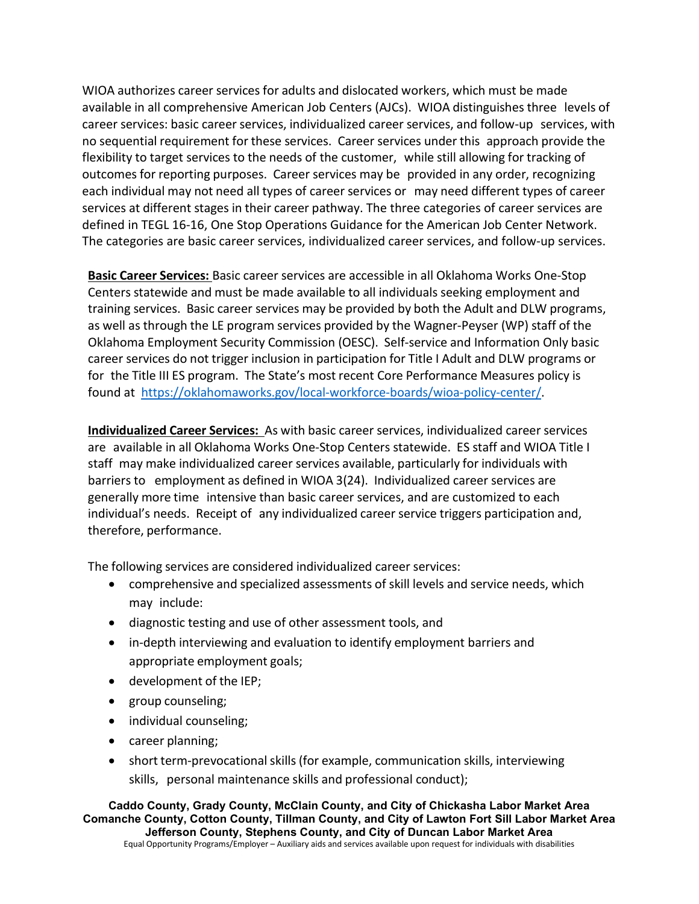WIOA authorizes career services for adults and dislocated workers, which must be made available in all comprehensive American Job Centers (AJCs). WIOA distinguishes three levels of career services: basic career services, individualized career services, and follow-up services, with no sequential requirement for these services. Career services under this approach provide the flexibility to target services to the needs of the customer, while still allowing for tracking of outcomes for reporting purposes. Career services may be provided in any order, recognizing each individual may not need all types of career services or may need different types of career services at different stages in their career pathway. The three categories of career services are defined in TEGL 16-16, One Stop Operations Guidance for the American Job Center Network. The categories are basic career services, individualized career services, and follow-up services.

**Basic Career Services:** Basic career services are accessible in all Oklahoma Works One-Stop Centers statewide and must be made available to all individuals seeking employment and training services. Basic career services may be provided by both the Adult and DLW programs, as well as through the LE program services provided by the Wagner-Peyser (WP) staff of the Oklahoma Employment Security Commission (OESC). Self-service and Information Only basic career services do not trigger inclusion in participation for Title I Adult and DLW programs or for the Title III ES program. The State's most recent Core Performance Measures policy is found at [https://oklahomaworks.gov/local-workforce-boards/wioa-policy-center/.](https://oklahomaworks.gov/local-workforce-boards/wioa-policy-center/)

**Individualized Career Services:** As with basic career services, individualized career services are available in all Oklahoma Works One-Stop Centers statewide. ES staff and WIOA Title I staff may make individualized career services available, particularly for individuals with barriers to employment as defined in WIOA 3(24). Individualized career services are generally more time intensive than basic career services, and are customized to each individual's needs. Receipt of any individualized career service triggers participation and, therefore, performance.

The following services are considered individualized career services:

- comprehensive and specialized assessments of skill levels and service needs, which may include:
- diagnostic testing and use of other assessment tools, and
- in-depth interviewing and evaluation to identify employment barriers and appropriate employment goals;
- development of the IEP;
- group counseling;
- individual counseling;
- career planning;
- short term-prevocationalskills (for example, communication skills, interviewing skills, personal maintenance skills and professional conduct);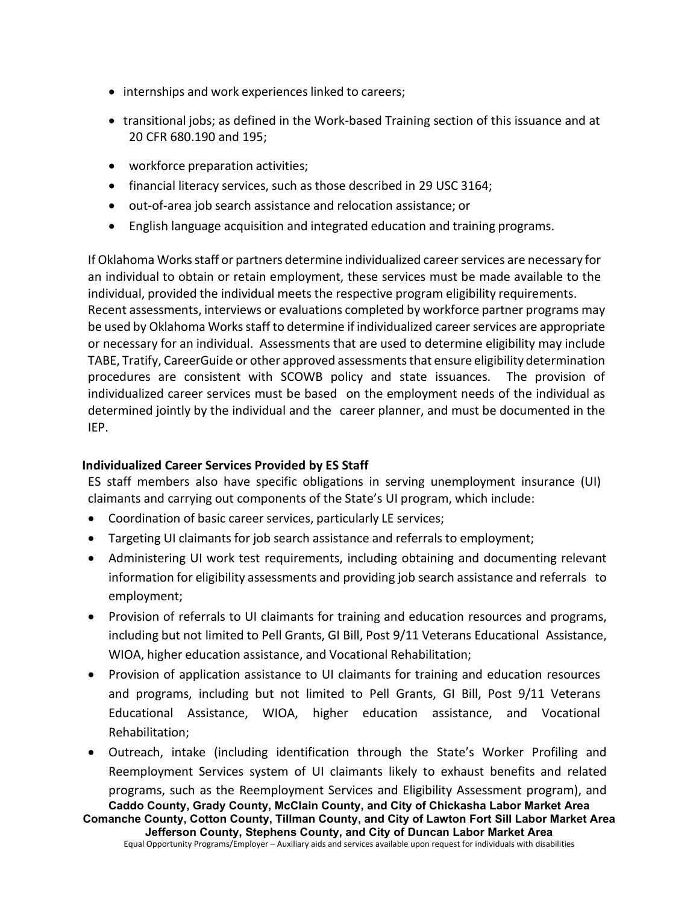- internships and work experiences linked to careers;
- transitional jobs; as defined in the Work-based Training section of this issuance and at 20 CFR 680.190 and 195;
- workforce preparation activities;
- financial literacy services, such as those described in 29 USC 3164;
- out-of-area job search assistance and relocation assistance; or
- English language acquisition and integrated education and training programs.

If Oklahoma Works staff or partners determine individualized career services are necessary for an individual to obtain or retain employment, these services must be made available to the individual, provided the individual meets the respective program eligibility requirements. Recent assessments, interviews or evaluations completed by workforce partner programs may be used by Oklahoma Works staff to determine if individualized career services are appropriate or necessary for an individual. Assessments that are used to determine eligibility may include TABE, Tratify, CareerGuide or other approved assessments that ensure eligibility determination procedures are consistent with SCOWB policy and state issuances. The provision of individualized career services must be based on the employment needs of the individual as determined jointly by the individual and the career planner, and must be documented in the IEP.

### **Individualized Career Services Provided by ES Staff**

ES staff members also have specific obligations in serving unemployment insurance (UI) claimants and carrying out components of the State's UI program, which include:

- Coordination of basic career services, particularly LE services;
- Targeting UI claimants for job search assistance and referrals to employment;
- Administering UI work test requirements, including obtaining and documenting relevant information for eligibility assessments and providing job search assistance and referrals to employment;
- Provision of referrals to UI claimants for training and education resources and programs, including but not limited to Pell Grants, GI Bill, Post 9/11 Veterans Educational Assistance, WIOA, higher education assistance, and Vocational Rehabilitation;
- Provision of application assistance to UI claimants for training and education resources and programs, including but not limited to Pell Grants, GI Bill, Post 9/11 Veterans Educational Assistance, WIOA, higher education assistance, and Vocational Rehabilitation;
- **Caddo County, Grady County, McClain County, and City of Chickasha Labor Market Area** • Outreach, intake (including identification through the State's Worker Profiling and Reemployment Services system of UI claimants likely to exhaust benefits and related programs, such as the Reemployment Services and Eligibility Assessment program), and

**Comanche County, Cotton County, Tillman County, and City of Lawton Fort Sill Labor Market Area Jefferson County, Stephens County, and City of Duncan Labor Market Area**

Equal Opportunity Programs/Employer – Auxiliary aids and services available upon request for individuals with disabilities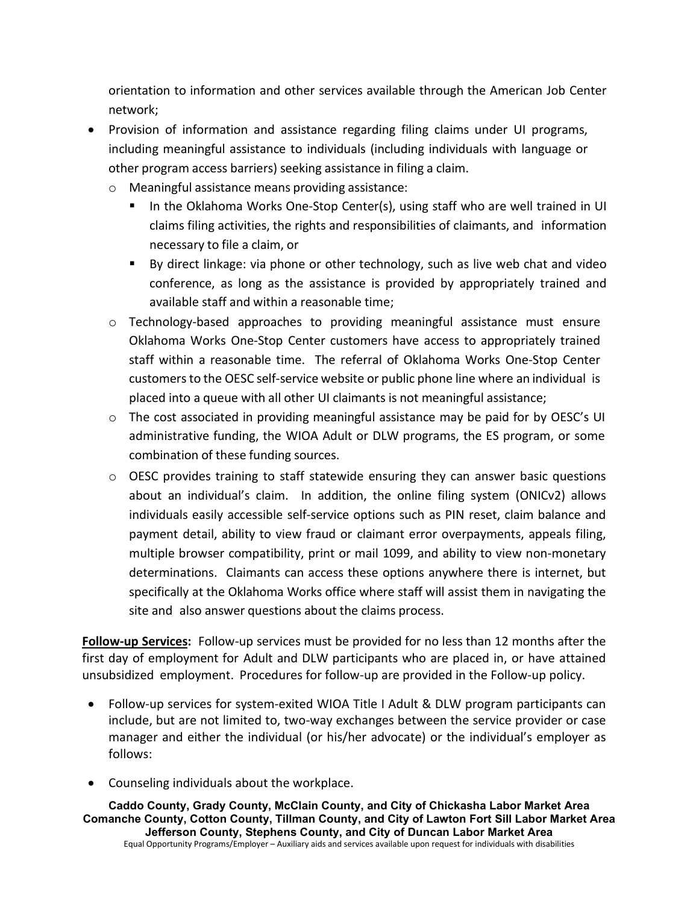orientation to information and other services available through the American Job Center network;

- Provision of information and assistance regarding filing claims under UI programs, including meaningful assistance to individuals (including individuals with language or other program access barriers) seeking assistance in filing a claim.
	- o Meaningful assistance means providing assistance:
		- In the Oklahoma Works One-Stop Center(s), using staff who are well trained in UI claims filing activities, the rights and responsibilities of claimants, and information necessary to file a claim, or
		- By direct linkage: via phone or other technology, such as live web chat and video conference, as long as the assistance is provided by appropriately trained and available staff and within a reasonable time;
	- $\circ$  Technology-based approaches to providing meaningful assistance must ensure Oklahoma Works One-Stop Center customers have access to appropriately trained staff within a reasonable time. The referral of Oklahoma Works One-Stop Center customersto the OESC self-service website or public phone line where an individual is placed into a queue with all other UI claimants is not meaningful assistance;
	- $\circ$  The cost associated in providing meaningful assistance may be paid for by OESC's UI administrative funding, the WIOA Adult or DLW programs, the ES program, or some combination of these funding sources.
	- o OESC provides training to staff statewide ensuring they can answer basic questions about an individual's claim. In addition, the online filing system (ONICv2) allows individuals easily accessible self-service options such as PIN reset, claim balance and payment detail, ability to view fraud or claimant error overpayments, appeals filing, multiple browser compatibility, print or mail 1099, and ability to view non-monetary determinations. Claimants can access these options anywhere there is internet, but specifically at the Oklahoma Works office where staff will assist them in navigating the site and also answer questions about the claims process.

**Follow-up Services:** Follow-up services must be provided for no less than 12 months after the first day of employment for Adult and DLW participants who are placed in, or have attained unsubsidized employment. Procedures for follow-up are provided in the Follow-up policy.

- Follow-up services for system-exited WIOA Title I Adult & DLW program participants can include, but are not limited to, two-way exchanges between the service provider or case manager and either the individual (or his/her advocate) or the individual's employer as follows:
- Counseling individuals about the workplace.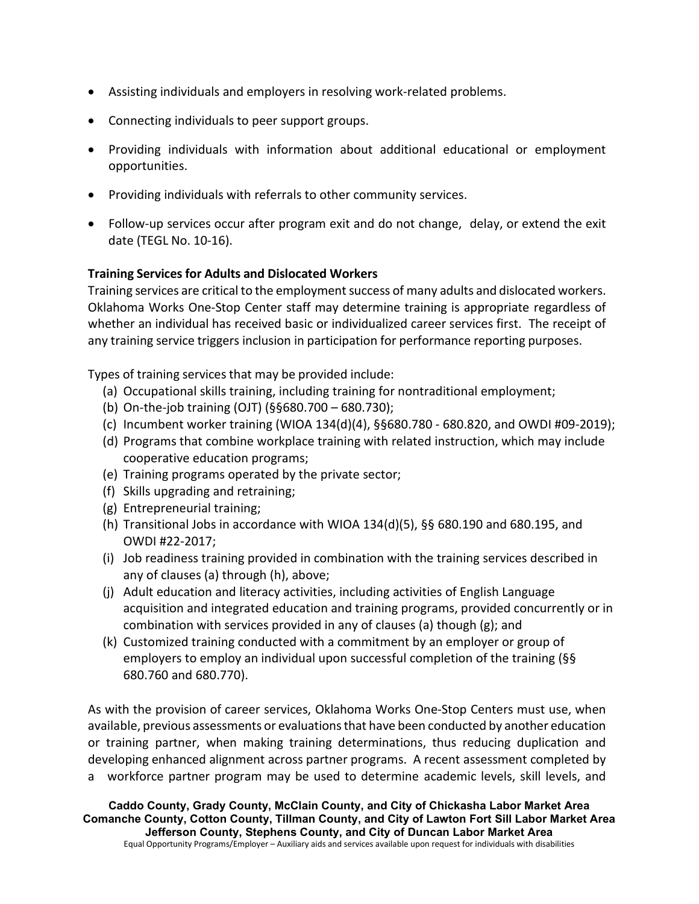- Assisting individuals and employers in resolving work-related problems.
- Connecting individuals to peer support groups.
- Providing individuals with information about additional educational or employment opportunities.
- Providing individuals with referrals to other community services.
- Follow-up services occur after program exit and do not change, delay, or extend the exit date (TEGL No. 10-16).

## **Training Services for Adults and Dislocated Workers**

Training services are critical to the employment success of many adults and dislocated workers. Oklahoma Works One-Stop Center staff may determine training is appropriate regardless of whether an individual has received basic or individualized career services first. The receipt of any training service triggers inclusion in participation for performance reporting purposes.

Types of training services that may be provided include:

- (a) Occupational skills training, including training for nontraditional employment;
- (b) On-the-job training (OJT) (§§680.700 680.730);
- (c) Incumbent worker training (WIOA 134(d)(4), §§680.780 680.820, and OWDI #09-2019);
- (d) Programs that combine workplace training with related instruction, which may include cooperative education programs;
- (e) Training programs operated by the private sector;
- (f) Skills upgrading and retraining;
- (g) Entrepreneurial training;
- (h) Transitional Jobs in accordance with WIOA 134(d)(5),  $\S$ § 680.190 and 680.195, and OWDI #22-2017;
- (i) Job readiness training provided in combination with the training services described in any of clauses (a) through (h), above;
- (j) Adult education and literacy activities, including activities of English Language acquisition and integrated education and training programs, provided concurrently or in combination with services provided in any of clauses (a) though (g); and
- (k) Customized training conducted with a commitment by an employer or group of employers to employ an individual upon successful completion of the training (§§ 680.760 and 680.770).

As with the provision of career services, Oklahoma Works One-Stop Centers must use, when available, previous assessments or evaluationsthat have been conducted by another education or training partner, when making training determinations, thus reducing duplication and developing enhanced alignment across partner programs. A recent assessment completed by a workforce partner program may be used to determine academic levels, skill levels, and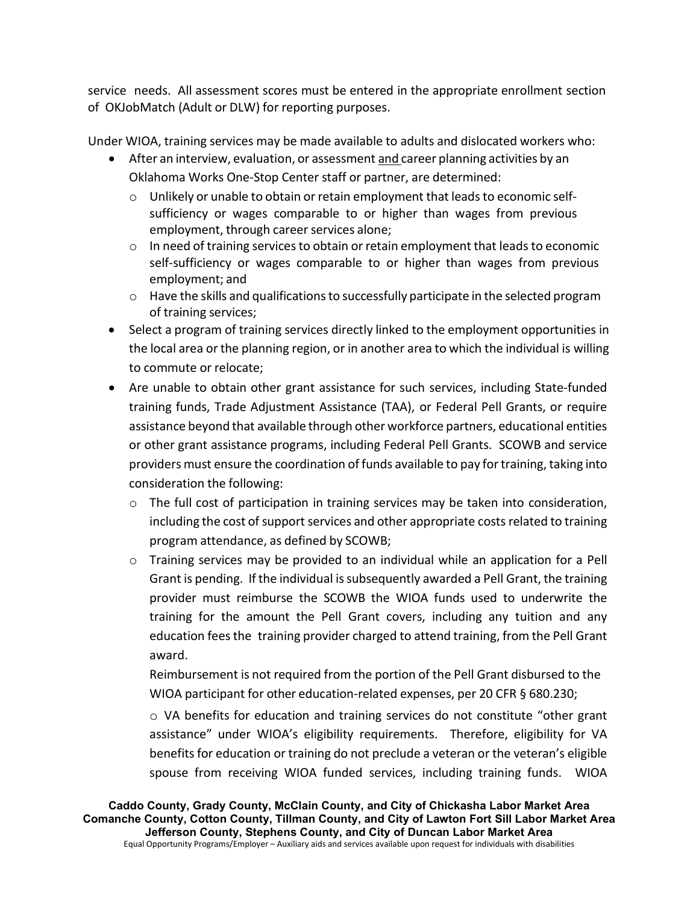service needs. All assessment scores must be entered in the appropriate enrollment section of OKJobMatch (Adult or DLW) for reporting purposes.

Under WIOA, training services may be made available to adults and dislocated workers who:

- After an interview, evaluation, or assessment and career planning activities by an Oklahoma Works One-Stop Center staff or partner, are determined:
	- o Unlikely or unable to obtain or retain employment that leads to economic selfsufficiency or wages comparable to or higher than wages from previous employment, through career services alone;
	- $\circ$  In need of training services to obtain or retain employment that leads to economic self-sufficiency or wages comparable to or higher than wages from previous employment; and
	- $\circ$  Have the skills and qualifications to successfully participate in the selected program of training services;
- Select a program of training services directly linked to the employment opportunities in the local area or the planning region, or in another area to which the individual is willing to commute or relocate;
- Are unable to obtain other grant assistance for such services, including State-funded training funds, Trade Adjustment Assistance (TAA), or Federal Pell Grants, or require assistance beyond that available through other workforce partners, educational entities or other grant assistance programs, including Federal Pell Grants. SCOWB and service providers must ensure the coordination of funds available to pay for training, taking into consideration the following:
	- $\circ$  The full cost of participation in training services may be taken into consideration, including the cost of support services and other appropriate costs related to training program attendance, as defined by SCOWB;
	- $\circ$  Training services may be provided to an individual while an application for a Pell Grant is pending. If the individual issubsequently awarded a Pell Grant, the training provider must reimburse the SCOWB the WIOA funds used to underwrite the training for the amount the Pell Grant covers, including any tuition and any education feesthe training provider charged to attend training, from the Pell Grant award.

Reimbursement is not required from the portion of the Pell Grant disbursed to the WIOA participant for other education-related expenses, per 20 CFR § 680.230;

o VA benefits for education and training services do not constitute "other grant assistance" under WIOA's eligibility requirements. Therefore, eligibility for VA benefits for education or training do not preclude a veteran or the veteran's eligible spouse from receiving WIOA funded services, including training funds. WIOA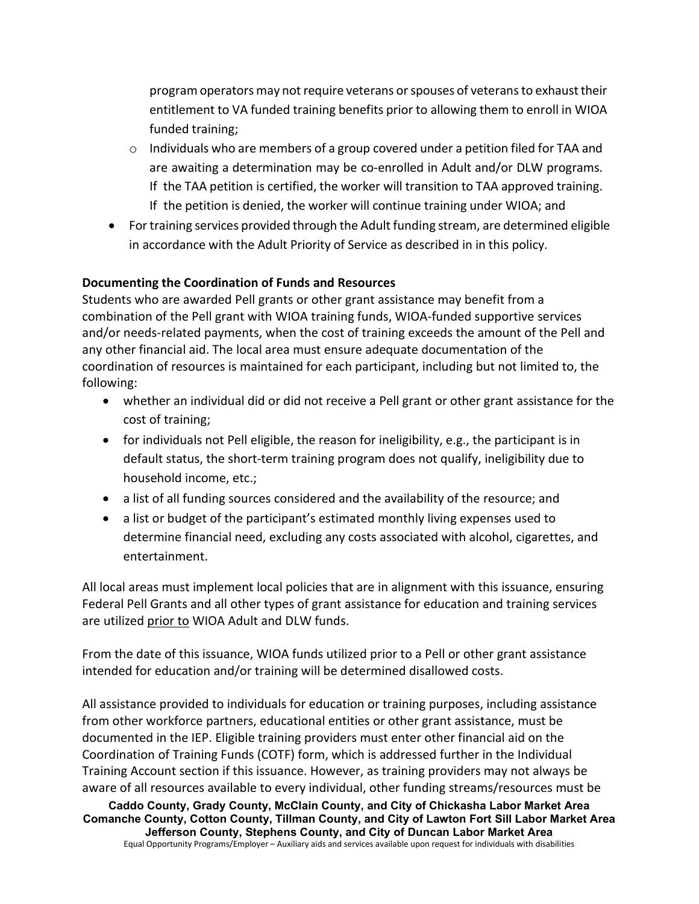program operators may not require veterans orspouses of veteransto exhausttheir entitlement to VA funded training benefits prior to allowing them to enroll in WIOA funded training;

- $\circ$  Individuals who are members of a group covered under a petition filed for TAA and are awaiting a determination may be co-enrolled in Adult and/or DLW programs. If the TAA petition is certified, the worker will transition to TAA approved training. If the petition is denied, the worker will continue training under WIOA; and
- For training services provided through the Adult funding stream, are determined eligible in accordance with the Adult Priority of Service as described in in this policy.

## **Documenting the Coordination of Funds and Resources**

Students who are awarded Pell grants or other grant assistance may benefit from a combination of the Pell grant with WIOA training funds, WIOA-funded supportive services and/or needs-related payments, when the cost of training exceeds the amount of the Pell and any other financial aid. The local area must ensure adequate documentation of the coordination of resources is maintained for each participant, including but not limited to, the following:

- whether an individual did or did not receive a Pell grant or other grant assistance for the cost of training;
- for individuals not Pell eligible, the reason for ineligibility, e.g., the participant is in default status, the short-term training program does not qualify, ineligibility due to household income, etc.;
- a list of all funding sources considered and the availability of the resource; and
- a list or budget of the participant's estimated monthly living expenses used to determine financial need, excluding any costs associated with alcohol, cigarettes, and entertainment.

All local areas must implement local policies that are in alignment with this issuance, ensuring Federal Pell Grants and all other types of grant assistance for education and training services are utilized prior to WIOA Adult and DLW funds.

From the date of this issuance, WIOA funds utilized prior to a Pell or other grant assistance intended for education and/or training will be determined disallowed costs.

All assistance provided to individuals for education or training purposes, including assistance from other workforce partners, educational entities or other grant assistance, must be documented in the IEP. Eligible training providers must enter other financial aid on the Coordination of Training Funds (COTF) form, which is addressed further in the Individual Training Account section if this issuance. However, as training providers may not always be aware of all resources available to every individual, other funding streams/resources must be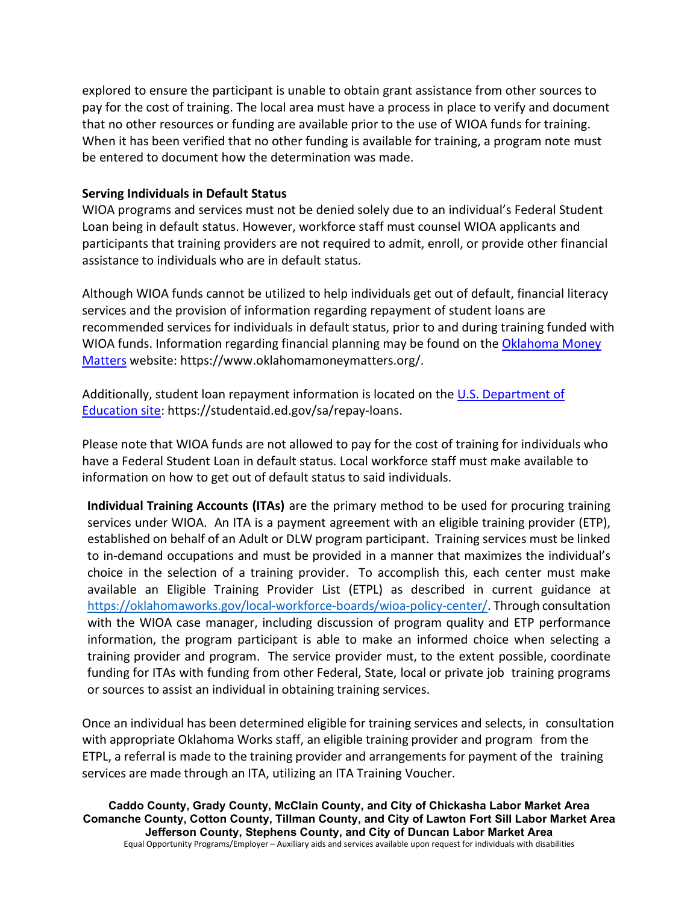explored to ensure the participant is unable to obtain grant assistance from other sources to pay for the cost of training. The local area must have a process in place to verify and document that no other resources or funding are available prior to the use of WIOA funds for training. When it has been verified that no other funding is available for training, a program note must be entered to document how the determination was made.

#### **Serving Individuals in Default Status**

WIOA programs and services must not be denied solely due to an individual's Federal Student Loan being in default status. However, workforce staff must counsel WIOA applicants and participants that training providers are not required to admit, enroll, or provide other financial assistance to individuals who are in default status.

Although WIOA funds cannot be utilized to help individuals get out of default, financial literacy services and the provision of information regarding repayment of student loans are recommended services for individuals in default status, prior to and during training funded with WIOA funds. Information regarding financial planning may be found on the Oklahoma Money [Matters](https://www.oklahomamoneymatters.org/) website: https://www.oklahomamoneymatters.org/.

Additionally, student loan repayment information is located on th[e U.S. Department of](https://studentaid.ed.gov/sa/repay-loans)  [Education site:](https://studentaid.ed.gov/sa/repay-loans) https://studentaid.ed.gov/sa/repay-loans.

Please note that WIOA funds are not allowed to pay for the cost of training for individuals who have a Federal Student Loan in default status. Local workforce staff must make available to information on how to get out of default status to said individuals.

**Individual Training Accounts (ITAs)** are the primary method to be used for procuring training services under WIOA. An ITA is a payment agreement with an eligible training provider (ETP), established on behalf of an Adult or DLW program participant. Training services must be linked to in-demand occupations and must be provided in a manner that maximizes the individual's choice in the selection of a training provider. To accomplish this, each center must make available an Eligible Training Provider List (ETPL) as described in current guidance at [https://oklahomaworks.gov/local-workforce-boards/wioa-policy-center/.](https://oklahomaworks.gov/local-workforce-boards/wioa-policy-center/) Through consultation with the WIOA case manager, including discussion of program quality and ETP performance information, the program participant is able to make an informed choice when selecting a training provider and program. The service provider must, to the extent possible, coordinate funding for ITAs with funding from other Federal, State, local or private job training programs or sources to assist an individual in obtaining training services.

Once an individual has been determined eligible for training services and selects, in consultation with appropriate Oklahoma Works staff, an eligible training provider and program from the ETPL, a referral is made to the training provider and arrangements for payment of the training services are made through an ITA, utilizing an ITA Training Voucher.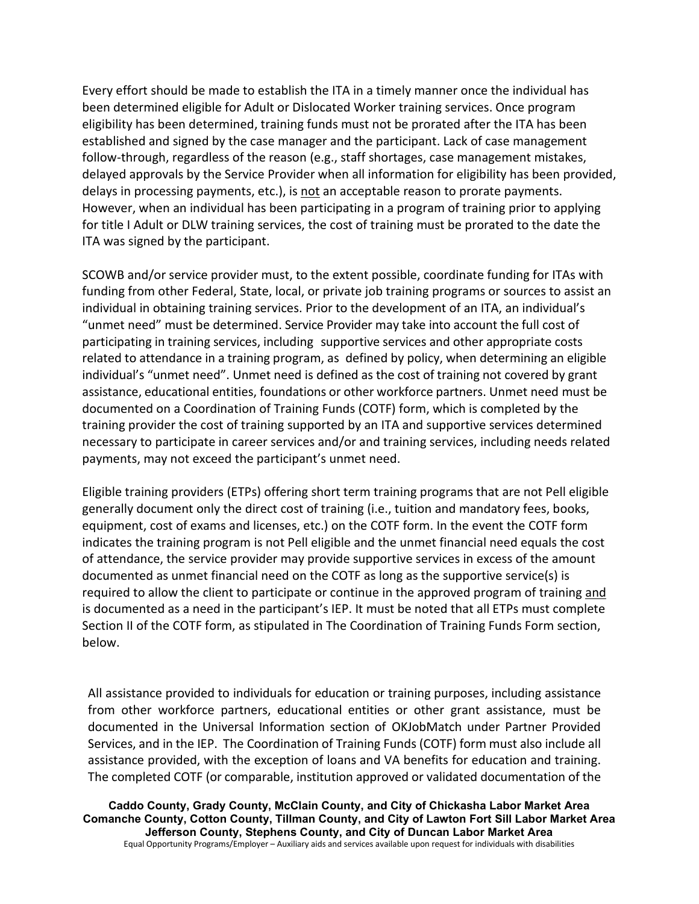Every effort should be made to establish the ITA in a timely manner once the individual has been determined eligible for Adult or Dislocated Worker training services. Once program eligibility has been determined, training funds must not be prorated after the ITA has been established and signed by the case manager and the participant. Lack of case management follow-through, regardless of the reason (e.g., staff shortages, case management mistakes, delayed approvals by the Service Provider when all information for eligibility has been provided, delays in processing payments, etc.), is not an acceptable reason to prorate payments. However, when an individual has been participating in a program of training prior to applying for title I Adult or DLW training services, the cost of training must be prorated to the date the ITA was signed by the participant.

SCOWB and/or service provider must, to the extent possible, coordinate funding for ITAs with funding from other Federal, State, local, or private job training programs or sources to assist an individual in obtaining training services. Prior to the development of an ITA, an individual's "unmet need" must be determined. Service Provider may take into account the full cost of participating in training services, including supportive services and other appropriate costs related to attendance in a training program, as defined by policy, when determining an eligible individual's "unmet need". Unmet need is defined as the cost of training not covered by grant assistance, educational entities, foundations or other workforce partners. Unmet need must be documented on a Coordination of Training Funds (COTF) form, which is completed by the training provider the cost of training supported by an ITA and supportive services determined necessary to participate in career services and/or and training services, including needs related payments, may not exceed the participant's unmet need.

Eligible training providers (ETPs) offering short term training programs that are not Pell eligible generally document only the direct cost of training (i.e., tuition and mandatory fees, books, equipment, cost of exams and licenses, etc.) on the COTF form. In the event the COTF form indicates the training program is not Pell eligible and the unmet financial need equals the cost of attendance, the service provider may provide supportive services in excess of the amount documented as unmet financial need on the COTF as long as the supportive service(s) is required to allow the client to participate or continue in the approved program of training and is documented as a need in the participant's IEP. It must be noted that all ETPs must complete Section II of the COTF form, as stipulated in The Coordination of Training Funds Form section, below.

All assistance provided to individuals for education or training purposes, including assistance from other workforce partners, educational entities or other grant assistance, must be documented in the Universal Information section of OKJobMatch under Partner Provided Services, and in the IEP. The Coordination of Training Funds (COTF) form must also include all assistance provided, with the exception of loans and VA benefits for education and training. The completed COTF (or comparable, institution approved or validated documentation of the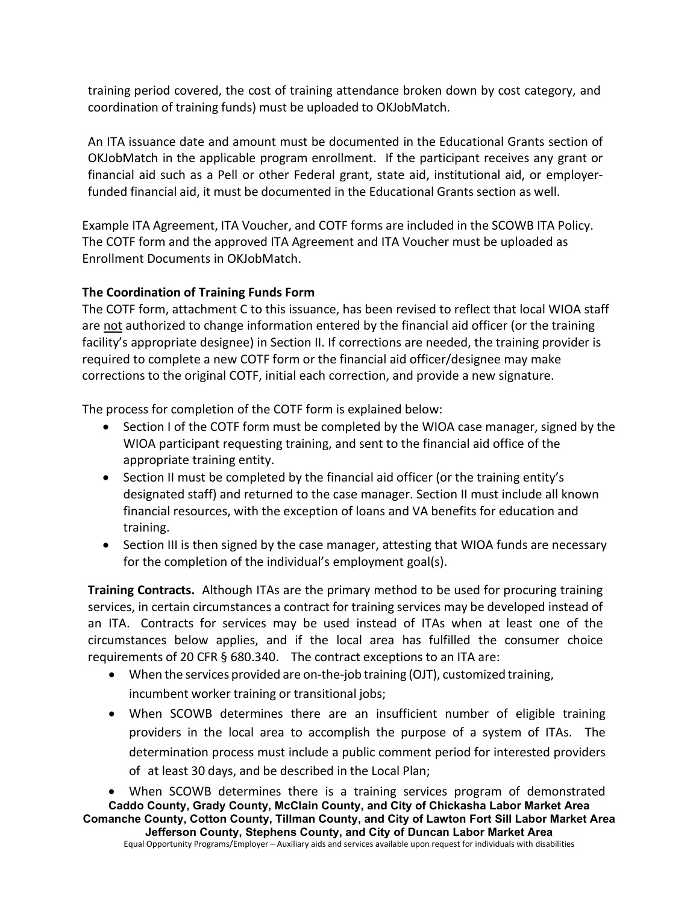training period covered, the cost of training attendance broken down by cost category, and coordination of training funds) must be uploaded to OKJobMatch.

An ITA issuance date and amount must be documented in the Educational Grants section of OKJobMatch in the applicable program enrollment. If the participant receives any grant or financial aid such as a Pell or other Federal grant, state aid, institutional aid, or employerfunded financial aid, it must be documented in the Educational Grants section as well.

Example ITA Agreement, ITA Voucher, and COTF forms are included in the SCOWB ITA Policy. The COTF form and the approved ITA Agreement and ITA Voucher must be uploaded as Enrollment Documents in OKJobMatch.

## **The Coordination of Training Funds Form**

The COTF form, attachment C to this issuance, has been revised to reflect that local WIOA staff are not authorized to change information entered by the financial aid officer (or the training facility's appropriate designee) in Section II. If corrections are needed, the training provider is required to complete a new COTF form or the financial aid officer/designee may make corrections to the original COTF, initial each correction, and provide a new signature.

The process for completion of the COTF form is explained below:

- Section I of the COTF form must be completed by the WIOA case manager, signed by the WIOA participant requesting training, and sent to the financial aid office of the appropriate training entity.
- Section II must be completed by the financial aid officer (or the training entity's designated staff) and returned to the case manager. Section II must include all known financial resources, with the exception of loans and VA benefits for education and training.
- Section III is then signed by the case manager, attesting that WIOA funds are necessary for the completion of the individual's employment goal(s).

**Training Contracts.** Although ITAs are the primary method to be used for procuring training services, in certain circumstances a contract for training services may be developed instead of an ITA. Contracts for services may be used instead of ITAs when at least one of the circumstances below applies, and if the local area has fulfilled the consumer choice requirements of 20 CFR § 680.340. The contract exceptions to an ITA are:

- When the services provided are on-the-job training (OJT), customized training, incumbent worker training or transitional jobs;
- When SCOWB determines there are an insufficient number of eligible training providers in the local area to accomplish the purpose of a system of ITAs. The determination process must include a public comment period for interested providers of at least 30 days, and be described in the Local Plan;

**Caddo County, Grady County, McClain County, and City of Chickasha Labor Market Area Comanche County, Cotton County, Tillman County, and City of Lawton Fort Sill Labor Market Area Jefferson County, Stephens County, and City of Duncan Labor Market Area** • When SCOWB determines there is a training services program of demonstrated

Equal Opportunity Programs/Employer – Auxiliary aids and services available upon request for individuals with disabilities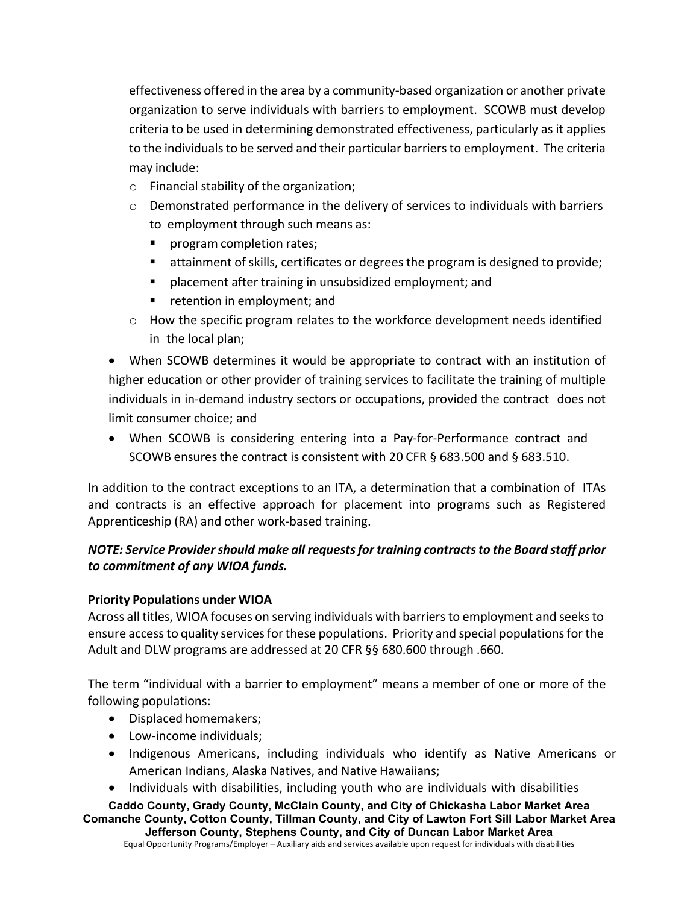effectiveness offered in the area by a community-based organization or another private organization to serve individuals with barriers to employment. SCOWB must develop criteria to be used in determining demonstrated effectiveness, particularly as it applies to the individuals to be served and their particular barriers to employment. The criteria may include:

- o Financial stability of the organization;
- $\circ$  Demonstrated performance in the delivery of services to individuals with barriers to employment through such means as:
	- program completion rates;
	- **EXTER** attainment of skills, certificates or degrees the program is designed to provide;
	- **P** placement after training in unsubsidized employment; and
	- **F** retention in employment; and
- o How the specific program relates to the workforce development needs identified in the local plan;

• When SCOWB determines it would be appropriate to contract with an institution of higher education or other provider of training services to facilitate the training of multiple individuals in in-demand industry sectors or occupations, provided the contract does not limit consumer choice; and

• When SCOWB is considering entering into a Pay-for-Performance contract and SCOWB ensures the contract is consistent with 20 CFR § 683.500 and § 683.510.

In addition to the contract exceptions to an ITA, a determination that a combination of ITAs and contracts is an effective approach for placement into programs such as Registered Apprenticeship (RA) and other work-based training.

# *NOTE: Service Provider should make all requests for training contracts to the Board staff prior to commitment of any WIOA funds.*

### **Priority Populations under WIOA**

Across all titles, WIOA focuses on serving individuals with barriers to employment and seeks to ensure access to quality services for these populations. Priority and special populations for the Adult and DLW programs are addressed at 20 CFR §§ 680.600 through .660.

The term "individual with a barrier to employment" means a member of one or more of the following populations:

- Displaced homemakers;
- Low-income individuals;
- Indigenous Americans, including individuals who identify as Native Americans or American Indians, Alaska Natives, and Native Hawaiians;
- Individuals with disabilities, including youth who are individuals with disabilities

**Caddo County, Grady County, McClain County, and City of Chickasha Labor Market Area Comanche County, Cotton County, Tillman County, and City of Lawton Fort Sill Labor Market Area Jefferson County, Stephens County, and City of Duncan Labor Market Area**

Equal Opportunity Programs/Employer – Auxiliary aids and services available upon request for individuals with disabilities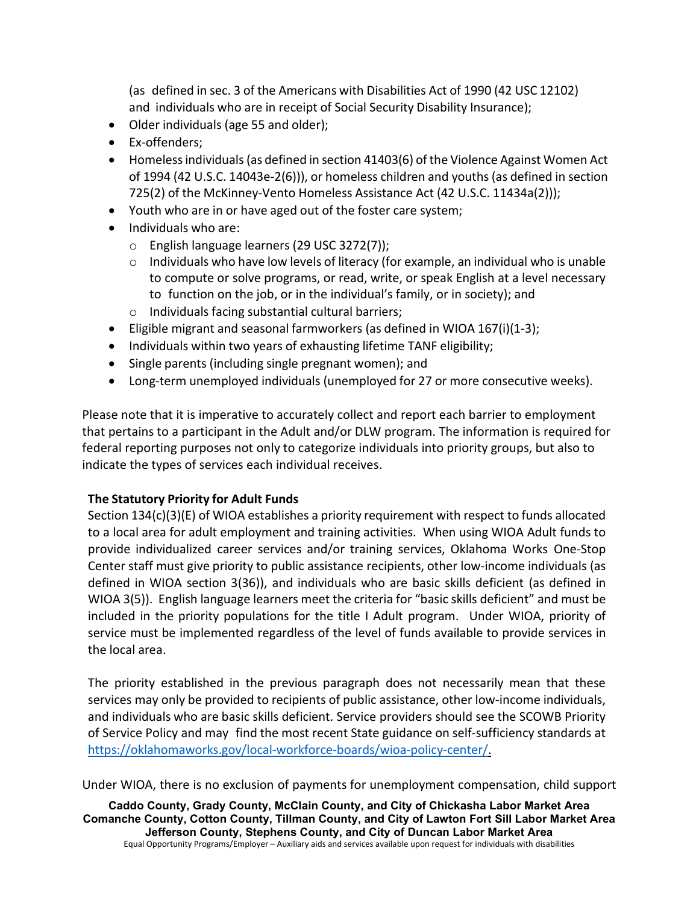(as defined in sec. 3 of the Americans with Disabilities Act of 1990 (42 USC 12102) and individuals who are in receipt of Social Security Disability Insurance);

- Older individuals (age 55 and older);
- Ex-offenders;
- Homelessindividuals(as defined in section 41403(6) of the Violence Against Women Act of 1994 (42 U.S.C. 14043e-2(6))), or homeless children and youths(as defined in section 725(2) of the McKinney-Vento Homeless Assistance Act (42 U.S.C. 11434a(2)));
- Youth who are in or have aged out of the foster care system;
- Individuals who are:
	- o English language learners (29 USC 3272(7));
	- $\circ$  Individuals who have low levels of literacy (for example, an individual who is unable to compute or solve programs, or read, write, or speak English at a level necessary to function on the job, or in the individual's family, or in society); and
	- o Individuals facing substantial cultural barriers;
- Eligible migrant and seasonal farmworkers (as defined in WIOA 167(i)(1-3);
- Individuals within two years of exhausting lifetime TANF eligibility;
- Single parents (including single pregnant women); and
- Long-term unemployed individuals (unemployed for 27 or more consecutive weeks).

Please note that it is imperative to accurately collect and report each barrier to employment that pertains to a participant in the Adult and/or DLW program. The information is required for federal reporting purposes not only to categorize individuals into priority groups, but also to indicate the types of services each individual receives.

## **The Statutory Priority for Adult Funds**

Section 134(c)(3)(E) of WIOA establishes a priority requirement with respect to funds allocated to a local area for adult employment and training activities. When using WIOA Adult funds to provide individualized career services and/or training services, Oklahoma Works One-Stop Center staff must give priority to public assistance recipients, other low-income individuals (as defined in WIOA section 3(36)), and individuals who are basic skills deficient (as defined in WIOA 3(5)). English language learners meet the criteria for "basic skills deficient" and must be included in the priority populations for the title I Adult program. Under WIOA, priority of service must be implemented regardless of the level of funds available to provide services in the local area.

The priority established in the previous paragraph does not necessarily mean that these services may only be provided to recipients of public assistance, other low-income individuals, and individuals who are basic skills deficient. Service providers should see the SCOWB Priority of Service Policy and may find the most recent State guidance on self-sufficiency standards at [https://oklahomaworks.gov/local-workforce-boards/wioa-policy-center/.](https://oklahomaworks.gov/local-workforce-boards/wioa-policy-center/)

Under WIOA, there is no exclusion of payments for unemployment compensation, child support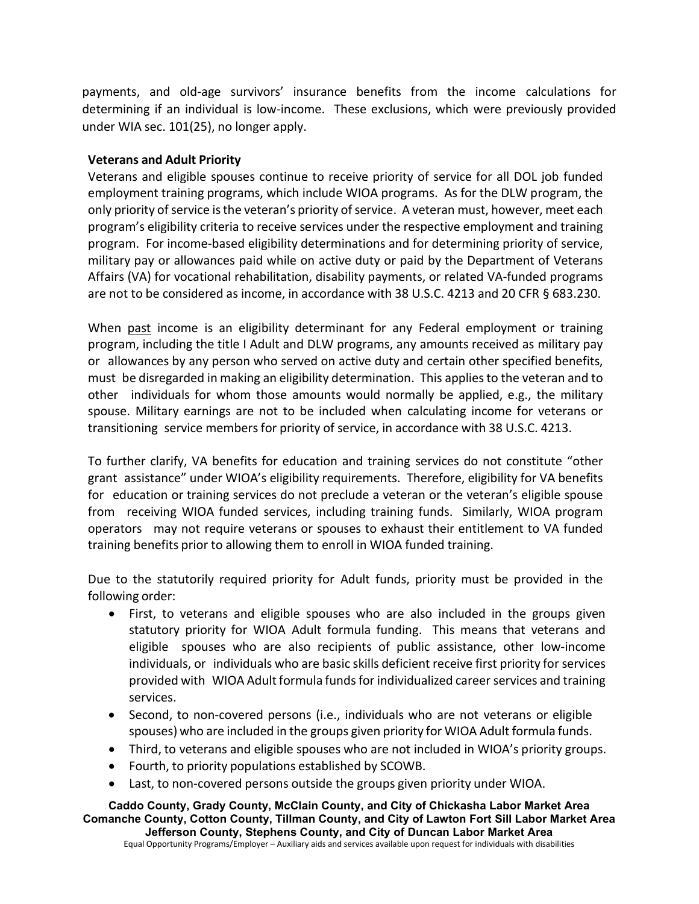payments, and old-age survivors' insurance benefits from the income calculations for determining if an individual is low-income. These exclusions, which were previously provided under WIA sec. 101(25), no longer apply.

#### **Veterans and Adult Priority**

Veterans and eligible spouses continue to receive priority of service for all DOL job funded employment training programs, which include WIOA programs. As for the DLW program, the only priority of service is the veteran's priority of service. A veteran must, however, meet each program's eligibility criteria to receive services under the respective employment and training program. For income-based eligibility determinations and for determining priority of service, military pay or allowances paid while on active duty or paid by the Department of Veterans Affairs (VA) for vocational rehabilitation, disability payments, or related VA-funded programs are not to be considered as income, in accordance with 38 U.S.C. 4213 and 20 CFR § 683.230.

When past income is an eligibility determinant for any Federal employment or training program, including the title I Adult and DLW programs, any amounts received as military pay or allowances by any person who served on active duty and certain other specified benefits, must be disregarded in making an eligibility determination. This appliesto the veteran and to other individuals for whom those amounts would normally be applied, e.g., the military spouse. Military earnings are not to be included when calculating income for veterans or transitioning service members for priority of service, in accordance with 38 U.S.C. 4213.

To further clarify, VA benefits for education and training services do not constitute "other grant assistance" under WIOA's eligibility requirements. Therefore, eligibility for VA benefits for education or training services do not preclude a veteran or the veteran's eligible spouse from receiving WIOA funded services, including training funds. Similarly, WIOA program operators may not require veterans or spouses to exhaust their entitlement to VA funded training benefits prior to allowing them to enroll in WIOA funded training.

Due to the statutorily required priority for Adult funds, priority must be provided in the following order:

- First, to veterans and eligible spouses who are also included in the groups given statutory priority for WIOA Adult formula funding. This means that veterans and eligible spouses who are also recipients of public assistance, other low-income individuals, or individuals who are basic skills deficient receive first priority for services provided with WIOA Adult formula funds for individualized career services and training services.
- Second, to non-covered persons (i.e., individuals who are not veterans or eligible spouses) who are included in the groups given priority for WIOA Adult formula funds.
- Third, to veterans and eligible spouses who are not included in WIOA's priority groups.
- Fourth, to priority populations established by SCOWB.
- Last, to non-covered persons outside the groups given priority under WIOA.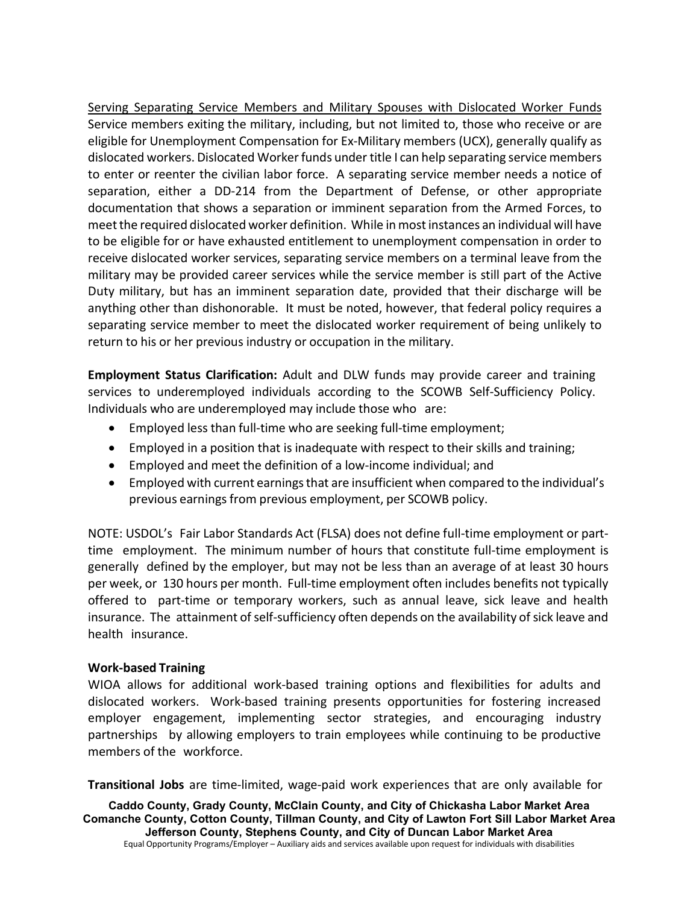Serving Separating Service Members and Military Spouses with Dislocated Worker Funds Service members exiting the military, including, but not limited to, those who receive or are eligible for Unemployment Compensation for Ex-Military members (UCX), generally qualify as dislocated workers. Dislocated Workerfunds under title I can help separating service members to enter or reenter the civilian labor force. A separating service member needs a notice of separation, either a DD-214 from the Department of Defense, or other appropriate documentation that shows a separation or imminent separation from the Armed Forces, to meetthe required dislocated worker definition. While in most instances an individual will have to be eligible for or have exhausted entitlement to unemployment compensation in order to receive dislocated worker services, separating service members on a terminal leave from the military may be provided career services while the service member is still part of the Active Duty military, but has an imminent separation date, provided that their discharge will be anything other than dishonorable. It must be noted, however, that federal policy requires a separating service member to meet the dislocated worker requirement of being unlikely to return to his or her previous industry or occupation in the military.

**Employment Status Clarification:** Adult and DLW funds may provide career and training services to underemployed individuals according to the SCOWB Self-Sufficiency Policy. Individuals who are underemployed may include those who are:

- Employed less than full-time who are seeking full-time employment;
- Employed in a position that is inadequate with respect to their skills and training;
- Employed and meet the definition of a low-income individual; and
- Employed with current earnings that are insufficient when compared to the individual's previous earnings from previous employment, per SCOWB policy.

NOTE: USDOL's Fair Labor [Standards](https://www.dol.gov/whd/flsa/) Act (FLSA) does not define full-time employment or parttime employment. The minimum number of hours that constitute full-time employment is generally defined by the employer, but may not be less than an average of at least 30 hours per week, or 130 hours per month. Full-time employment often includes benefits not typically offered to part-time or temporary workers, such as annual leave, sick leave and health insurance. The attainment of self-sufficiency often depends on the availability of sick leave and health insurance.

### **Work-based Training**

WIOA allows for additional work-based training options and flexibilities for adults and dislocated workers. Work-based training presents opportunities for fostering increased employer engagement, implementing sector strategies, and encouraging industry partnerships by allowing employers to train employees while continuing to be productive members of the workforce.

**Transitional Jobs** are time-limited, wage-paid work experiences that are only available for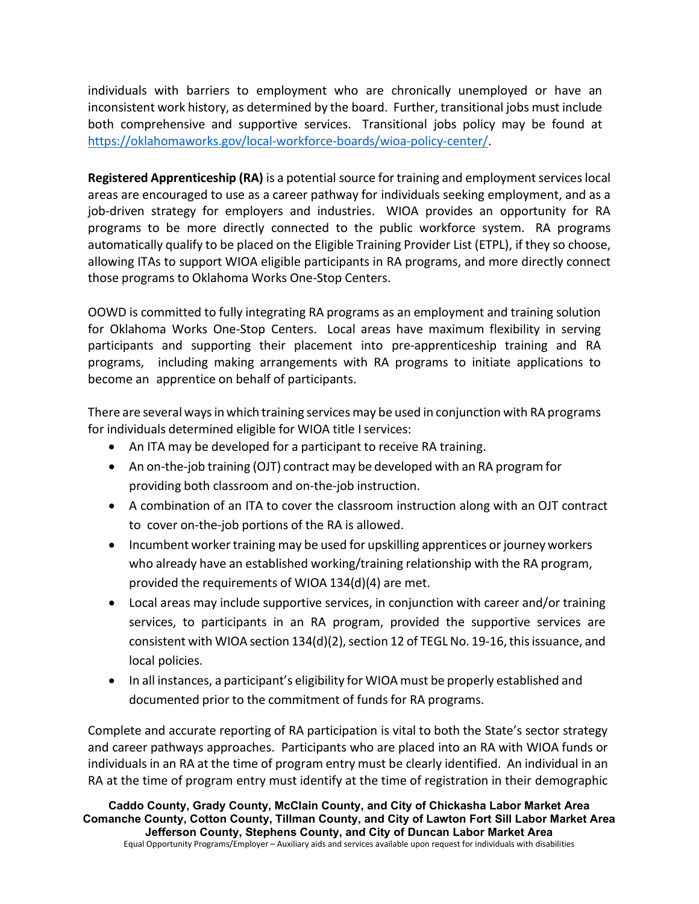individuals with barriers to employment who are chronically unemployed or have an inconsistent work history, as determined by the board. Further, transitional jobs must include both comprehensive and supportive services. Transitional jobs policy may be found at [https://oklahomaworks.gov/local-workforce-boards/wioa-policy-center/.](https://oklahomaworks.gov/local-workforce-boards/wioa-policy-center/)

**Registered Apprenticeship (RA)** is a potential source for training and employment services local areas are encouraged to use as a career pathway for individuals seeking employment, and as a job-driven strategy for employers and industries. WIOA provides an opportunity for RA programs to be more directly connected to the public workforce system. RA programs automatically qualify to be placed on the Eligible Training Provider List (ETPL), if they so choose, allowing ITAs to support WIOA eligible participants in RA programs, and more directly connect those programs to Oklahoma Works One-Stop Centers.

OOWD is committed to fully integrating RA programs as an employment and training solution for Oklahoma Works One-Stop Centers. Local areas have maximum flexibility in serving participants and supporting their placement into pre-apprenticeship training and RA programs, including making arrangements with RA programs to initiate applications to become an apprentice on behalf of participants.

There are several ways in which training services may be used in conjunction with RA programs for individuals determined eligible for WIOA title I services:

- An ITA may be developed for a participant to receive RA training.
- An on-the-job training (OJT) contract may be developed with an RA program for providing both classroom and on-the-job instruction.
- A combination of an ITA to cover the classroom instruction along with an OJT contract to cover on-the-job portions of the RA is allowed.
- Incumbent worker training may be used for upskilling apprentices or journey workers who already have an established working/training relationship with the RA program, provided the requirements of WIOA 134(d)(4) are met.
- Local areas may include supportive services, in conjunction with career and/or training services, to participants in an RA program, provided the supportive services are consistent with WIOA section  $134(d)(2)$ , section 12 of TEGL No. 19-16, this issuance, and local policies.
- In all instances, a participant's eligibility for WIOA must be properly established and documented prior to the commitment of funds for RA programs.

Complete and accurate reporting of RA participation is vital to both the State's sector strategy and career pathways approaches. Participants who are placed into an RA with WIOA funds or individuals in an RA at the time of program entry must be clearly identified. An individual in an RA at the time of program entry must identify at the time of registration in their demographic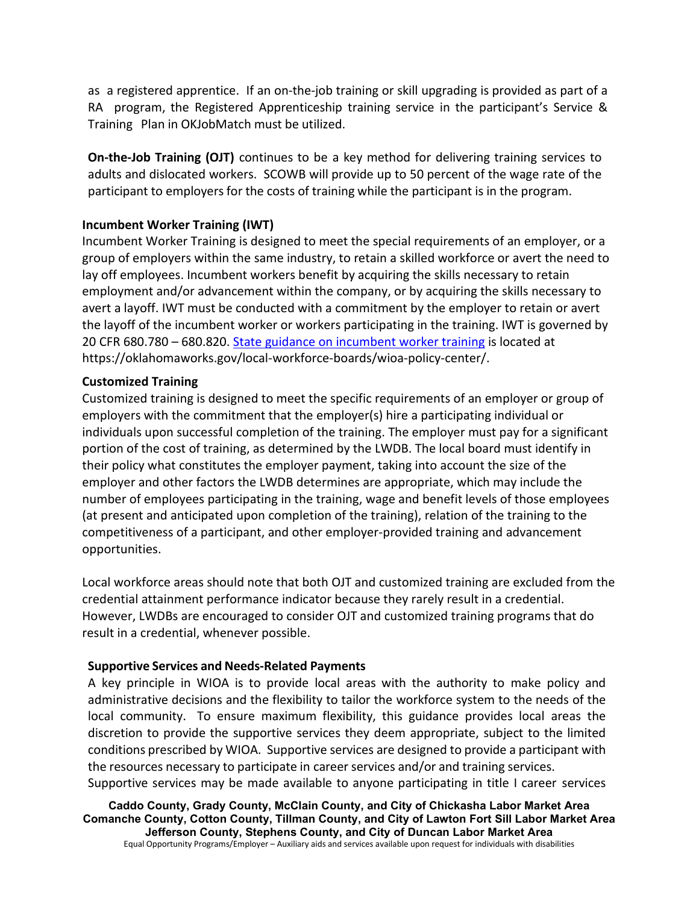as a registered apprentice. If an on-the-job training or skill upgrading is provided as part of a RA program, the Registered Apprenticeship training service in the participant's Service & Training Plan in OKJobMatch must be utilized.

**On-the-Job Training (OJT)** continues to be a key method for delivering training services to adults and dislocated workers. SCOWB will provide up to 50 percent of the wage rate of the participant to employers for the costs of training while the participant is in the program.

## **Incumbent Worker Training (IWT)**

Incumbent Worker Training is designed to meet the special requirements of an employer, or a group of employers within the same industry, to retain a skilled workforce or avert the need to lay off employees. Incumbent workers benefit by acquiring the skills necessary to retain employment and/or advancement within the company, or by acquiring the skills necessary to avert a layoff. IWT must be conducted with a commitment by the employer to retain or avert the layoff of the incumbent worker or workers participating in the training. IWT is governed by 20 CFR 680.780 – 680.820. State guidance on incumbent worker training is located at https://oklahomaworks.gov/local-workforce-boards/wioa-policy-center/.

### **Customized Training**

Customized training is designed to meet the specific requirements of an employer or group of employers with the commitment that the employer(s) hire a participating individual or individuals upon successful completion of the training. The employer must pay for a significant portion of the cost of training, as determined by the LWDB. The local board must identify in their policy what constitutes the employer payment, taking into account the size of the employer and other factors the LWDB determines are appropriate, which may include the number of employees participating in the training, wage and benefit levels of those employees (at present and anticipated upon completion of the training), relation of the training to the competitiveness of a participant, and other employer-provided training and advancement opportunities.

Local workforce areas should note that both OJT and customized training are excluded from the credential attainment performance indicator because they rarely result in a credential. However, LWDBs are encouraged to consider OJT and customized training programs that do result in a credential, whenever possible.

### **Supportive Services and Needs-Related Payments**

A key principle in WIOA is to provide local areas with the authority to make policy and administrative decisions and the flexibility to tailor the workforce system to the needs of the local community. To ensure maximum flexibility, this guidance provides local areas the discretion to provide the supportive services they deem appropriate, subject to the limited conditions prescribed by WIOA. Supportive services are designed to provide a participant with the resources necessary to participate in career services and/or and training services. Supportive services may be made available to anyone participating in title I career services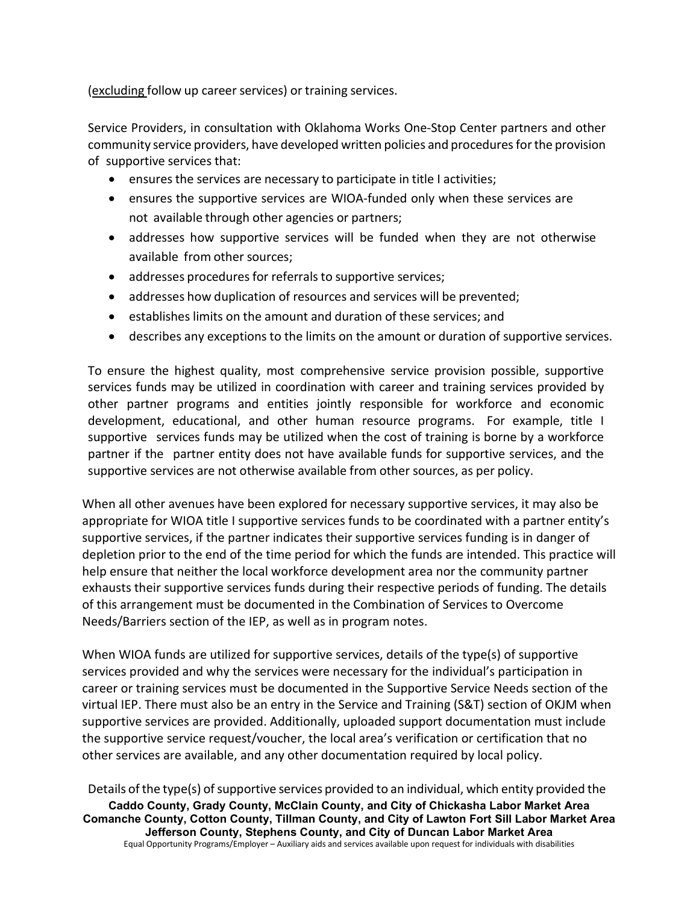(excluding follow up career services) or training services.

Service Providers, in consultation with Oklahoma Works One-Stop Center partners and other community service providers, have developed written policies and procedures for the provision of supportive services that:

- ensures the services are necessary to participate in title I activities;
- ensures the supportive services are WIOA-funded only when these services are not available through other agencies or partners;
- addresses how supportive services will be funded when they are not otherwise available from other sources;
- addresses procedures for referrals to supportive services;
- addresses how duplication of resources and services will be prevented;
- establishes limits on the amount and duration of these services; and
- describes any exceptions to the limits on the amount or duration of supportive services.

To ensure the highest quality, most comprehensive service provision possible, supportive services funds may be utilized in coordination with career and training services provided by other partner programs and entities jointly responsible for workforce and economic development, educational, and other human resource programs. For example, title I supportive services funds may be utilized when the cost of training is borne by a workforce partner if the partner entity does not have available funds for supportive services, and the supportive services are not otherwise available from other sources, as per policy.

When all other avenues have been explored for necessary supportive services, it may also be appropriate for WIOA title I supportive services funds to be coordinated with a partner entity's supportive services, if the partner indicates their supportive services funding is in danger of depletion prior to the end of the time period for which the funds are intended. This practice will help ensure that neither the local workforce development area nor the community partner exhausts their supportive services funds during their respective periods of funding. The details of this arrangement must be documented in the Combination of Services to Overcome Needs/Barriers section of the IEP, as well as in program notes.

When WIOA funds are utilized for supportive services, details of the type(s) of supportive services provided and why the services were necessary for the individual's participation in career or training services must be documented in the Supportive Service Needs section of the virtual IEP. There must also be an entry in the Service and Training (S&T) section of OKJM when supportive services are provided. Additionally, uploaded support documentation must include the supportive service request/voucher, the local area's verification or certification that no other services are available, and any other documentation required by local policy.

**Caddo County, Grady County, McClain County, and City of Chickasha Labor Market Area Comanche County, Cotton County, Tillman County, and City of Lawton Fort Sill Labor Market Area Jefferson County, Stephens County, and City of Duncan Labor Market Area** Equal Opportunity Programs/Employer – Auxiliary aids and services available upon request for individuals with disabilities Details of the type(s) of supportive services provided to an individual, which entity provided the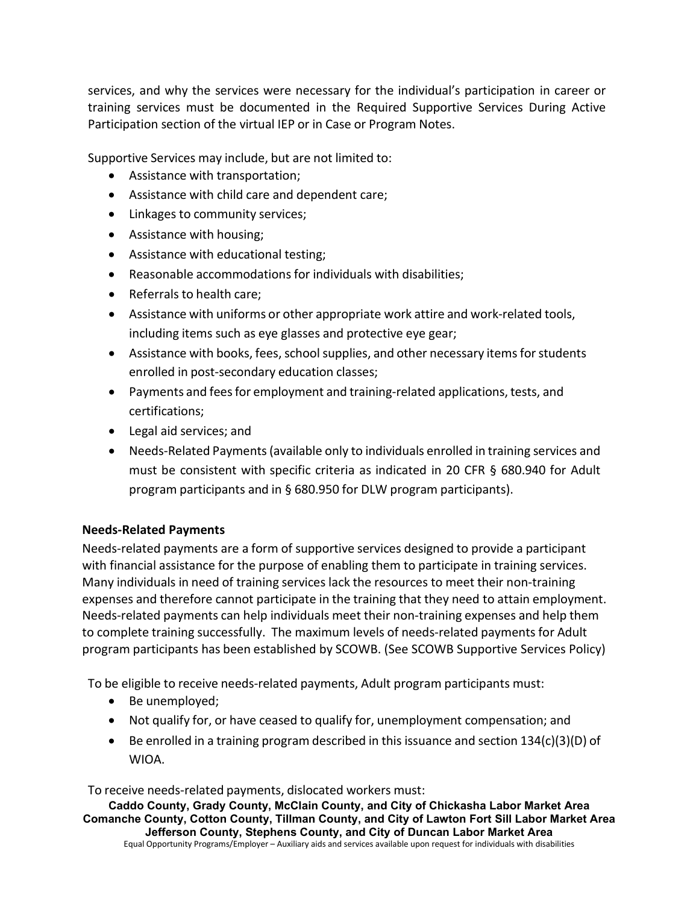services, and why the services were necessary for the individual's participation in career or training services must be documented in the Required Supportive Services During Active Participation section of the virtual IEP or in Case or Program Notes.

Supportive Services may include, but are not limited to:

- Assistance with transportation;
- Assistance with child care and dependent care;
- Linkages to community services;
- Assistance with housing;
- Assistance with educational testing;
- Reasonable accommodations for individuals with disabilities;
- Referrals to health care;
- Assistance with uniforms or other appropriate work attire and work-related tools, including items such as eye glasses and protective eye gear;
- Assistance with books, fees, school supplies, and other necessary items for students enrolled in post-secondary education classes;
- Payments and feesfor employment and training-related applications, tests, and certifications;
- Legal aid services; and
- Needs-Related Payments(available only to individuals enrolled in training services and must be consistent with specific criteria as indicated in 20 CFR § 680.940 for Adult program participants and in § 680.950 for DLW program participants).

## **Needs-Related Payments**

Needs-related payments are a form of supportive services designed to provide a participant with financial assistance for the purpose of enabling them to participate in training services. Many individuals in need of training services lack the resources to meet their non-training expenses and therefore cannot participate in the training that they need to attain employment. Needs-related payments can help individuals meet their non-training expenses and help them to complete training successfully. The maximum levels of needs-related payments for Adult program participants has been established by SCOWB. (See SCOWB Supportive Services Policy)

To be eligible to receive needs-related payments, Adult program participants must:

- Be unemployed;
- Not qualify for, or have ceased to qualify for, unemployment compensation; and
- Be enrolled in a training program described in this issuance and section 134(c)(3)(D) of WIOA.

To receive needs-related payments, dislocated workers must: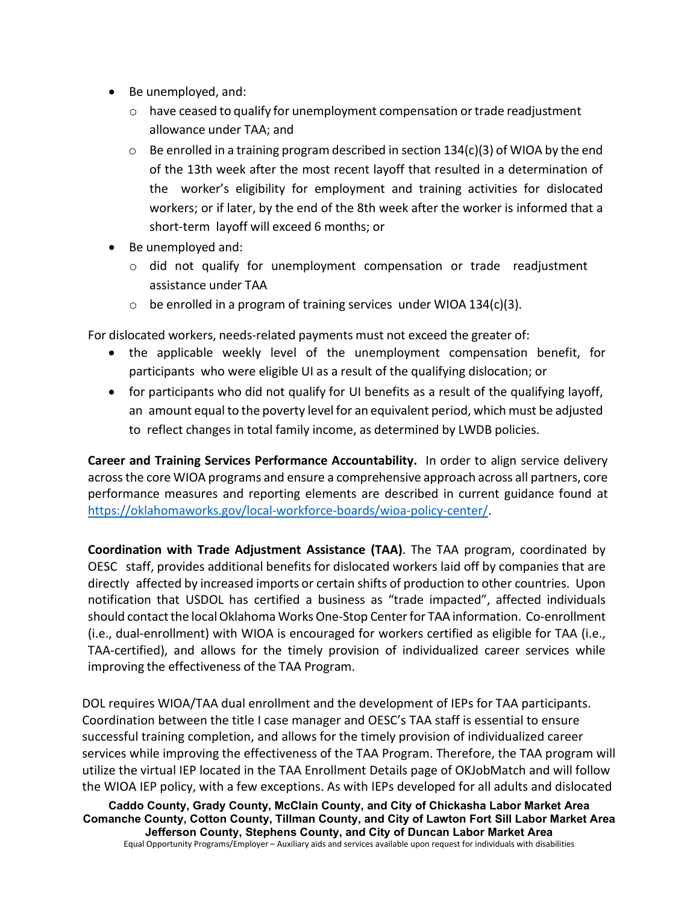- Be unemployed, and:
	- $\circ$  have ceased to qualify for unemployment compensation or trade readjustment allowance under TAA; and
	- $\circ$  Be enrolled in a training program described in section 134(c)(3) of WIOA by the end of the 13th week after the most recent layoff that resulted in a determination of the worker's eligibility for employment and training activities for dislocated workers; or if later, by the end of the 8th week after the worker is informed that a short-term layoff will exceed 6 months; or
- Be unemployed and:
	- $\circ$  did not qualify for unemployment compensation or trade readjustment assistance under TAA
	- $\circ$  be enrolled in a program of training services under WIOA 134(c)(3).

For dislocated workers, needs-related payments must not exceed the greater of:

- the applicable weekly level of the unemployment compensation benefit, for participants who were eligible UI as a result of the qualifying dislocation; or
- for participants who did not qualify for UI benefits as a result of the qualifying layoff, an amount equal to the poverty level for an equivalent period, which must be adjusted to reflect changes in total family income, as determined by LWDB policies.

**Career and Training Services Performance Accountability.** In order to align service delivery acrossthe core WIOA programs and ensure a comprehensive approach across all partners, core performance measures and reporting elements are described in current guidance found at [https://oklahomaworks.gov/local-workforce-boards/wioa-policy-center/.](https://oklahomaworks.gov/local-workforce-boards/wioa-policy-center/)

**Coordination with Trade Adjustment Assistance (TAA)**. The TAA program, coordinated by OESC staff, provides additional benefits for dislocated workers laid off by companies that are directly affected by increased imports or certain shifts of production to other countries. Upon notification that USDOL has certified a business as "trade impacted", affected individuals should contact the local Oklahoma Works One-Stop Center for TAA information. Co-enrollment (i.e., dual-enrollment) with WIOA is encouraged for workers certified as eligible for TAA (i.e., TAA-certified), and allows for the timely provision of individualized career services while improving the effectiveness of the TAA Program.

DOL requires WIOA/TAA dual enrollment and the development of IEPs for TAA participants. Coordination between the title I case manager and OESC's TAA staff is essential to ensure successful training completion, and allows for the timely provision of individualized career services while improving the effectiveness of the TAA Program. Therefore, the TAA program will utilize the virtual IEP located in the TAA Enrollment Details page of OKJobMatch and will follow the WIOA IEP policy, with a few exceptions. As with IEPs developed for all adults and dislocated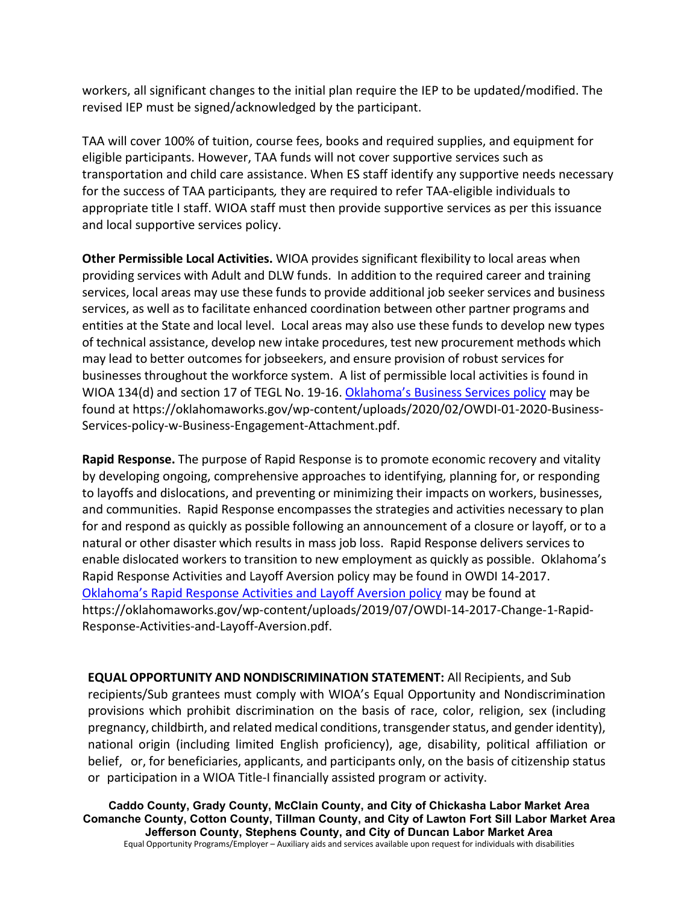workers, all significant changes to the initial plan require the IEP to be updated/modified. The revised IEP must be signed/acknowledged by the participant.

TAA will cover 100% of tuition, course fees, books and required supplies, and equipment for eligible participants. However, TAA funds will not cover supportive services such as transportation and child care assistance. When ES staff identify any supportive needs necessary for the success of TAA participants*,* they are required to refer TAA-eligible individuals to appropriate title I staff. WIOA staff must then provide supportive services as per this issuance and local supportive services policy.

**Other Permissible Local Activities.** WIOA provides significant flexibility to local areas when providing services with Adult and DLW funds. In addition to the required career and training services, local areas may use these funds to provide additional job seeker services and business services, as well as to facilitate enhanced coordination between other partner programs and entities at the State and local level. Local areas may also use these funds to develop new types of technical assistance, develop new intake procedures, test new procurement methods which may lead to better outcomes for jobseekers, and ensure provision of robust services for businesses throughout the workforce system. A list of permissible local activities is found in WIOA 134(d) and section 17 of TEGL No. 19-16. [Oklahoma's Business Services policy](https://oklahomaworks.gov/wp-content/uploads/2020/02/OWDI-01-2020-Business-Services-policy-w-Business-Engagement-Attachment.pdf) may be found at https://oklahomaworks.gov/wp-content/uploads/2020/02/OWDI-01-2020-Business-Services-policy-w-Business-Engagement-Attachment.pdf.

**Rapid Response.** The purpose of Rapid Response is to promote economic recovery and vitality by developing ongoing, comprehensive approaches to identifying, planning for, or responding to layoffs and dislocations, and preventing or minimizing their impacts on workers, businesses, and communities. Rapid Response encompasses the strategies and activities necessary to plan for and respond as quickly as possible following an announcement of a closure or layoff, or to a natural or other disaster which results in mass job loss. Rapid Response delivers services to enable dislocated workers to transition to new employment as quickly as possible. Oklahoma's Rapid Response Activities and Layoff Aversion policy may be found in OWDI 14-2017. [Oklahoma's Rapid Response Activities and Layoff Aversion policy](https://oklahomaworks.gov/wp-content/uploads/2019/07/OWDI-14-2017-Change-1-Rapid-Response-Activities-and-Layoff-Aversion.pdf) may be found at https://oklahomaworks.gov/wp-content/uploads/2019/07/OWDI-14-2017-Change-1-Rapid-Response-Activities-and-Layoff-Aversion.pdf.

**EQUAL OPPORTUNITY AND NONDISCRIMINATION STATEMENT:** All Recipients, and Sub recipients/Sub grantees must comply with WIOA's Equal Opportunity and Nondiscrimination provisions which prohibit discrimination on the basis of race, color, religion, sex (including pregnancy, childbirth, and related medical conditions, transgender status, and gender identity), national origin (including limited English proficiency), age, disability, political affiliation or belief, or, for beneficiaries, applicants, and participants only, on the basis of citizenship status or participation in a WIOA Title-I financially assisted program or activity.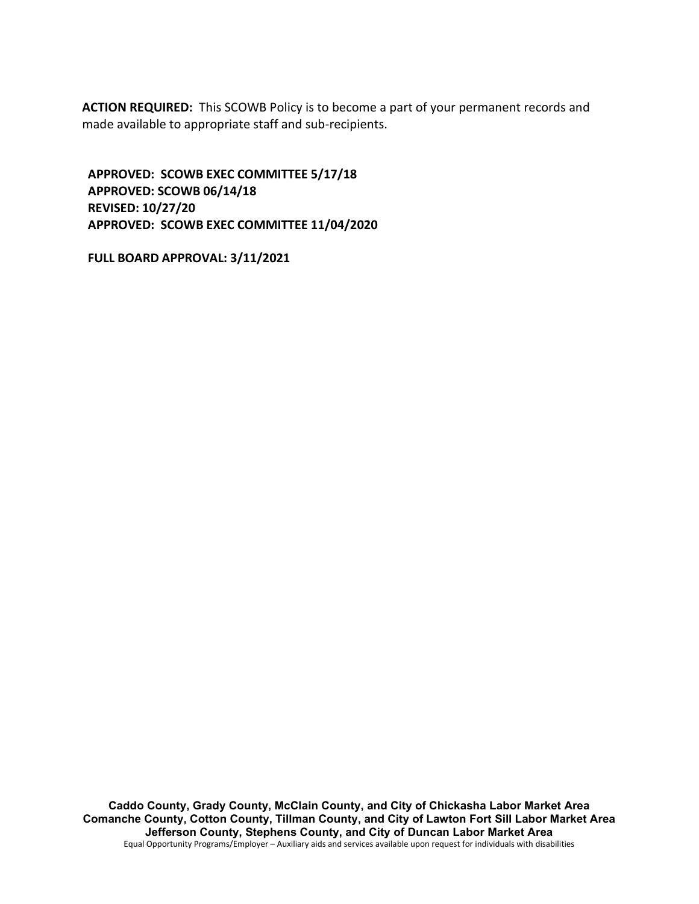**ACTION REQUIRED:** This SCOWB Policy is to become a part of your permanent records and made available to appropriate staff and sub-recipients.

**APPROVED: SCOWB EXEC COMMITTEE 5/17/18 APPROVED: SCOWB 06/14/18 REVISED: 10/27/20 APPROVED: SCOWB EXEC COMMITTEE 11/04/2020**

**FULL BOARD APPROVAL: 3/11/2021**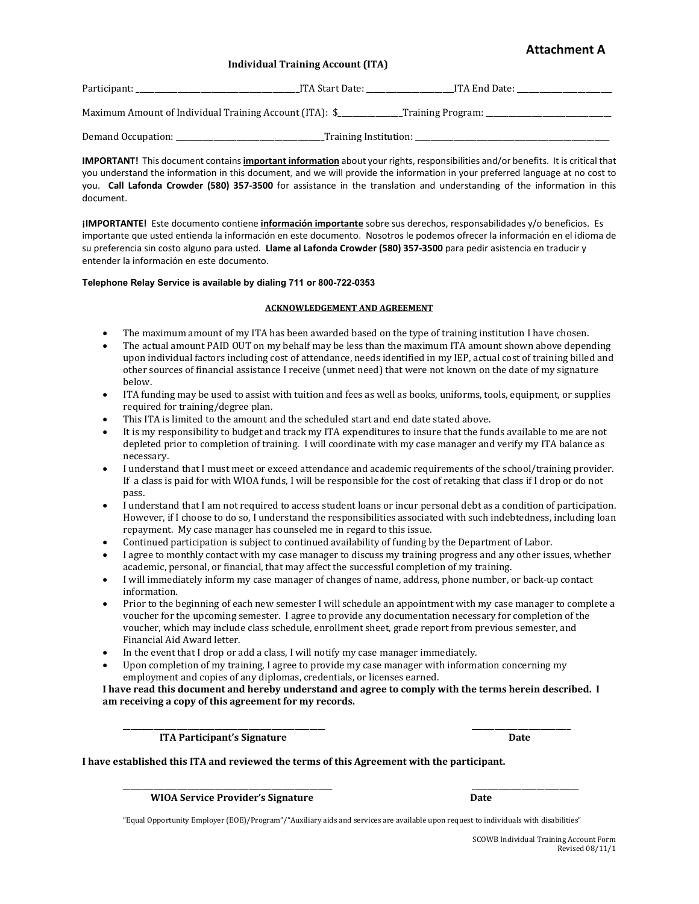### **Attachment A**

#### **Individual Training Account (ITA)**

| Participant:                                            | ITA Start Date:       | ITA End Date:        |
|---------------------------------------------------------|-----------------------|----------------------|
| Maximum Amount of Individual Training Account (ITA): \$ |                       | _Training Program: _ |
| Demand Occupation:                                      | Training Institution: |                      |

**IMPORTANT!** This document contains **important information** about your rights, responsibilities and/or benefits. It is critical that you understand the information in this document, and we will provide the information in your preferred language at no cost to you. **Call Lafonda Crowder (580) 357-3500** for assistance in the translation and understanding of the information in this document.

**¡IMPORTANTE!** Este documento contiene **información importante** sobre sus derechos, responsabilidades y/o beneficios. Es importante que usted entienda la información en este documento. Nosotros le podemos ofrecer la información en el idioma de su preferencia sin costo alguno para usted. **Llame al Lafonda Crowder (580) 357-3500** para pedir asistencia en traducir y entender la información en este documento.

#### **Telephone Relay Service is available by dialing 711 or 800-722-0353**

#### **ACKNOWLEDGEMENT AND AGREEMENT**

- The maximum amount of my ITA has been awarded based on the type of training institution I have chosen.
- The actual amount PAID OUT on my behalf may be less than the maximum ITA amount shown above depending upon individual factors including cost of attendance, needs identified in my IEP, actual cost of training billed and other sources of financial assistance I receive (unmet need) that were not known on the date of my signature below.
- ITA funding may be used to assist with tuition and fees as well as books, uniforms, tools, equipment, or supplies required for training/degree plan.
- This ITA is limited to the amount and the scheduled start and end date stated above.
- It is my responsibility to budget and track my ITA expenditures to insure that the funds available to me are not depleted prior to completion of training. I will coordinate with my case manager and verify my ITA balance as necessary.
- I understand that I must meet or exceed attendance and academic requirements of the school/training provider. If a class is paid for with WIOA funds, I will be responsible for the cost of retaking that class if I drop or do not pass.
- I understand that I am not required to access student loans or incur personal debt as a condition of participation. However, if I choose to do so, I understand the responsibilities associated with such indebtedness, including loan repayment. My case manager has counseled me in regard to this issue.
- Continued participation is subject to continued availability of funding by the Department of Labor.<br>• Lagree to monthly contact with my case manager to discuss my training progress and any other iss
- I agree to monthly contact with my case manager to discuss my training progress and any other issues, whether academic, personal, or financial, that may affect the successful completion of my training.
- I will immediately inform my case manager of changes of name, address, phone number, or back-up contact information.
- Prior to the beginning of each new semester I will schedule an appointment with my case manager to complete a voucher for the upcoming semester. I agree to provide any documentation necessary for completion of the voucher, which may include class schedule, enrollment sheet, grade report from previous semester, and Financial Aid Award letter.
- In the event that I drop or add a class, I will notify my case manager immediately.
- Upon completion of my training, I agree to provide my case manager with information concerning my employment and copies of any diplomas, credentials, or licenses earned.

**I have read this document and hereby understand and agree to comply with the terms herein described. I am receiving a copy of this agreement for my records.**

\_\_\_\_\_\_\_\_\_\_\_\_\_\_\_\_\_\_\_\_\_\_\_\_\_\_\_\_\_\_\_\_\_\_\_\_\_\_\_\_\_\_\_\_\_\_\_\_\_\_\_\_\_ \_\_\_\_\_\_\_\_\_\_\_\_\_\_\_\_\_\_\_\_\_\_\_\_\_\_ **ITA Participant's Signature Date** Date Date

**I have established this ITA and reviewed the terms of this Agreement with the participant.**

\_\_\_\_\_\_\_\_\_\_\_\_\_\_\_\_\_\_\_\_\_\_\_\_\_\_\_\_\_\_\_\_\_\_\_\_\_\_\_\_\_\_\_\_\_\_\_\_\_\_\_\_\_\_\_ \_\_\_\_\_\_\_\_\_\_\_\_\_\_\_\_\_\_\_\_\_\_\_\_\_\_\_\_ WIOA Service Provider's Signature **Date** 

"Equal Opportunity Employer (EOE)/Program"/"Auxiliary aids and services are available upon request to individuals with disabilities"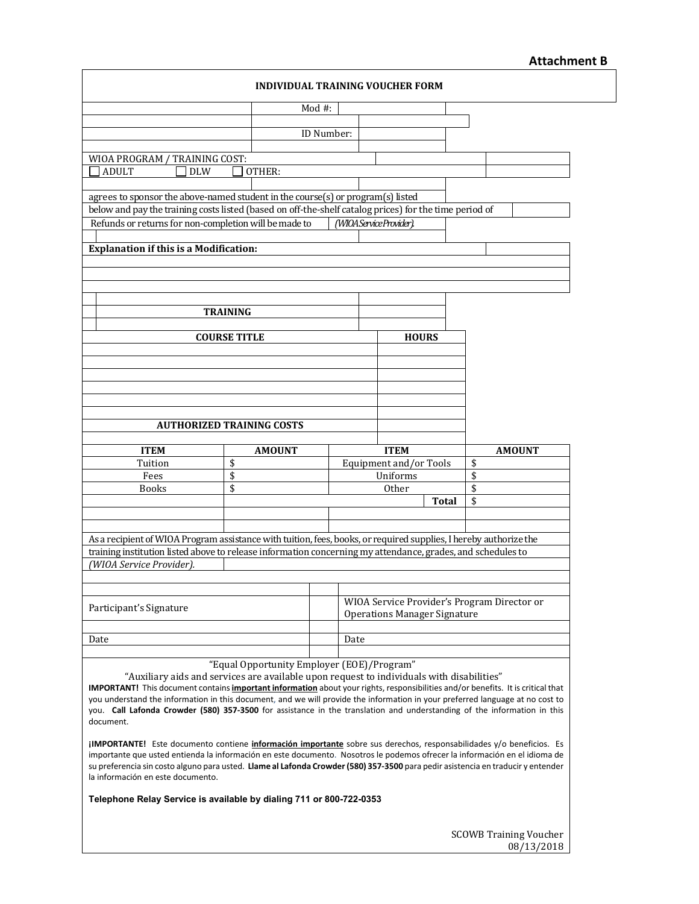## **Attachment B**

| <b>INDIVIDUAL TRAINING VOUCHER FORM</b>                                                                                                                                                                                          |                                                                                                                         |            |                                                                                    |                                       |  |                     |  |
|----------------------------------------------------------------------------------------------------------------------------------------------------------------------------------------------------------------------------------|-------------------------------------------------------------------------------------------------------------------------|------------|------------------------------------------------------------------------------------|---------------------------------------|--|---------------------|--|
|                                                                                                                                                                                                                                  |                                                                                                                         | Mod $#$ :  |                                                                                    |                                       |  |                     |  |
|                                                                                                                                                                                                                                  |                                                                                                                         | ID Number: |                                                                                    |                                       |  |                     |  |
|                                                                                                                                                                                                                                  |                                                                                                                         |            |                                                                                    |                                       |  |                     |  |
| WIOA PROGRAM / TRAINING COST:<br><b>ADULT</b><br><b>DLW</b>                                                                                                                                                                      | OTHER:                                                                                                                  |            |                                                                                    |                                       |  |                     |  |
|                                                                                                                                                                                                                                  |                                                                                                                         |            |                                                                                    |                                       |  |                     |  |
| agrees to sponsor the above-named student in the course(s) or program(s) listed<br>below and pay the training costs listed (based on off-the-shelf catalog prices) for the time period of                                        |                                                                                                                         |            |                                                                                    |                                       |  |                     |  |
| Refunds or returns for non-completion will be made to                                                                                                                                                                            |                                                                                                                         |            |                                                                                    | (WIOA Service Provider).              |  |                     |  |
| <b>Explanation if this is a Modification:</b>                                                                                                                                                                                    |                                                                                                                         |            |                                                                                    |                                       |  |                     |  |
|                                                                                                                                                                                                                                  |                                                                                                                         |            |                                                                                    |                                       |  |                     |  |
|                                                                                                                                                                                                                                  |                                                                                                                         |            |                                                                                    |                                       |  |                     |  |
|                                                                                                                                                                                                                                  | <b>TRAINING</b>                                                                                                         |            |                                                                                    |                                       |  |                     |  |
|                                                                                                                                                                                                                                  |                                                                                                                         |            |                                                                                    |                                       |  |                     |  |
|                                                                                                                                                                                                                                  | <b>COURSE TITLE</b>                                                                                                     |            |                                                                                    | <b>HOURS</b>                          |  |                     |  |
|                                                                                                                                                                                                                                  |                                                                                                                         |            |                                                                                    |                                       |  |                     |  |
|                                                                                                                                                                                                                                  |                                                                                                                         |            |                                                                                    |                                       |  |                     |  |
|                                                                                                                                                                                                                                  |                                                                                                                         |            |                                                                                    |                                       |  |                     |  |
|                                                                                                                                                                                                                                  | <b>AUTHORIZED TRAINING COSTS</b>                                                                                        |            |                                                                                    |                                       |  |                     |  |
|                                                                                                                                                                                                                                  |                                                                                                                         |            |                                                                                    |                                       |  |                     |  |
| <b>ITEM</b><br>Tuition                                                                                                                                                                                                           | <b>AMOUNT</b><br>\$                                                                                                     |            |                                                                                    | <b>ITEM</b><br>Equipment and/or Tools |  | <b>AMOUNT</b><br>\$ |  |
| Fees                                                                                                                                                                                                                             | \$                                                                                                                      |            |                                                                                    | Uniforms                              |  | \$                  |  |
| <b>Books</b>                                                                                                                                                                                                                     | \$                                                                                                                      |            |                                                                                    | <b>Other</b>                          |  | \$<br>\$            |  |
|                                                                                                                                                                                                                                  |                                                                                                                         | Total      |                                                                                    |                                       |  |                     |  |
|                                                                                                                                                                                                                                  |                                                                                                                         |            |                                                                                    |                                       |  |                     |  |
| As a recipient of WIOA Program assistance with tuition, fees, books, or required supplies, I hereby authorize the<br>training institution listed above to release information concerning my attendance, grades, and schedules to |                                                                                                                         |            |                                                                                    |                                       |  |                     |  |
| (WIOA Service Provider).                                                                                                                                                                                                         |                                                                                                                         |            |                                                                                    |                                       |  |                     |  |
|                                                                                                                                                                                                                                  |                                                                                                                         |            |                                                                                    |                                       |  |                     |  |
| Participant's Signature                                                                                                                                                                                                          |                                                                                                                         |            | WIOA Service Provider's Program Director or<br><b>Operations Manager Signature</b> |                                       |  |                     |  |
|                                                                                                                                                                                                                                  |                                                                                                                         |            |                                                                                    |                                       |  |                     |  |
| Date                                                                                                                                                                                                                             |                                                                                                                         |            |                                                                                    | Date                                  |  |                     |  |
| "Equal Opportunity Employer (EOE)/Program"                                                                                                                                                                                       |                                                                                                                         |            |                                                                                    |                                       |  |                     |  |
| "Auxiliary aids and services are available upon request to individuals with disabilities"<br>IMPORTANT! This document contains important information about your rights, responsibilities and/or benefits. It is critical that    |                                                                                                                         |            |                                                                                    |                                       |  |                     |  |
| you understand the information in this document, and we will provide the information in your preferred language at no cost to                                                                                                    |                                                                                                                         |            |                                                                                    |                                       |  |                     |  |
| document.                                                                                                                                                                                                                        | you. Call Lafonda Crowder (580) 357-3500 for assistance in the translation and understanding of the information in this |            |                                                                                    |                                       |  |                     |  |
| jIMPORTANTE! Este documento contiene información importante sobre sus derechos, responsabilidades y/o beneficios. Es                                                                                                             |                                                                                                                         |            |                                                                                    |                                       |  |                     |  |
|                                                                                                                                                                                                                                  |                                                                                                                         |            |                                                                                    |                                       |  |                     |  |
| importante que usted entienda la información en este documento. Nosotros le podemos ofrecer la información en el idioma de                                                                                                       |                                                                                                                         |            |                                                                                    |                                       |  |                     |  |
| su preferencia sin costo alguno para usted. Llame al Lafonda Crowder (580) 357-3500 para pedir asistencia en traducir y entender<br>la información en este documento.                                                            |                                                                                                                         |            |                                                                                    |                                       |  |                     |  |
| Telephone Relay Service is available by dialing 711 or 800-722-0353                                                                                                                                                              |                                                                                                                         |            |                                                                                    |                                       |  |                     |  |
|                                                                                                                                                                                                                                  |                                                                                                                         |            |                                                                                    |                                       |  |                     |  |